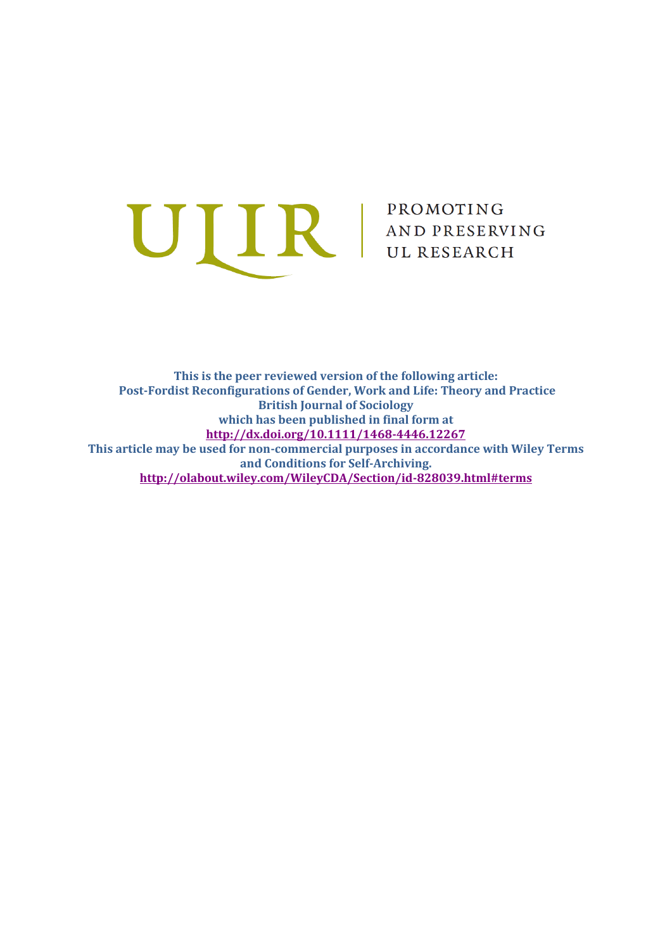

**This is the peer reviewed version of the following article: Post-Fordist Reconfigurations of Gender, Work and Life: Theory and Practice British Journal of Sociology which has been published in final form at <http://dx.doi.org/10.1111/1468-4446.12267> This article may be used for non-commercial purposes in accordance with Wiley Terms and Conditions for Self-Archiving. <http://olabout.wiley.com/WileyCDA/Section/id-828039.html#terms>**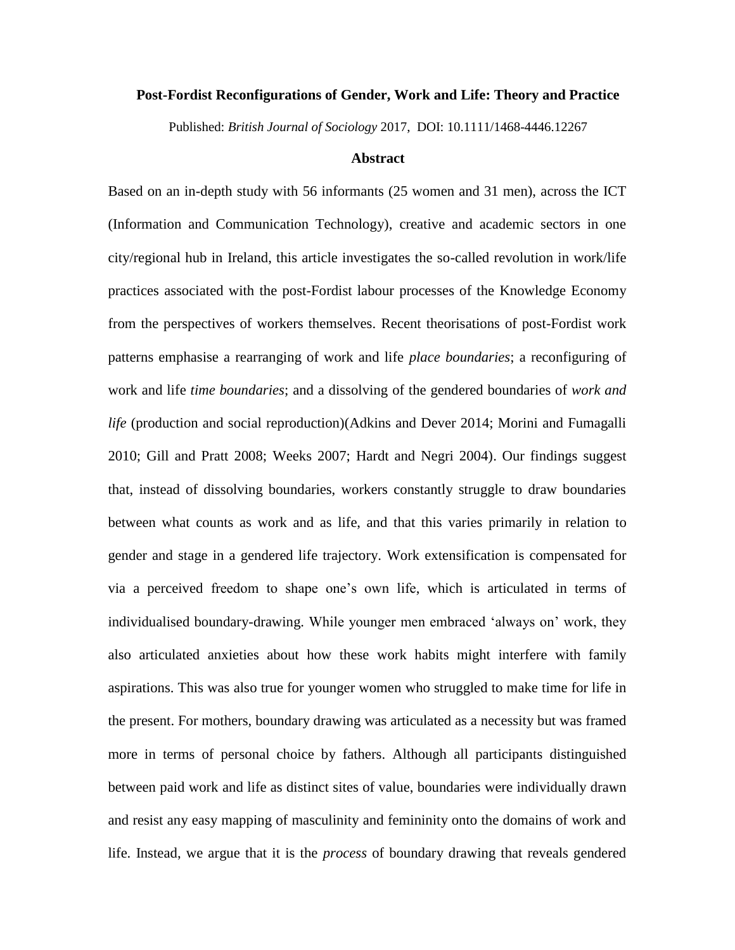#### **Post-Fordist Reconfigurations of Gender, Work and Life: Theory and Practice**

Published: *British Journal of Sociology* 2017, DOI: 10.1111/1468-4446.12267

## **Abstract**

Based on an in-depth study with 56 informants (25 women and 31 men), across the ICT (Information and Communication Technology), creative and academic sectors in one city/regional hub in Ireland, this article investigates the so-called revolution in work/life practices associated with the post-Fordist labour processes of the Knowledge Economy from the perspectives of workers themselves. Recent theorisations of post-Fordist work patterns emphasise a rearranging of work and life *place boundaries*; a reconfiguring of work and life *time boundaries*; and a dissolving of the gendered boundaries of *work and life* (production and social reproduction)(Adkins and Dever 2014; Morini and Fumagalli 2010; Gill and Pratt 2008; Weeks 2007; Hardt and Negri 2004). Our findings suggest that, instead of dissolving boundaries, workers constantly struggle to draw boundaries between what counts as work and as life, and that this varies primarily in relation to gender and stage in a gendered life trajectory. Work extensification is compensated for via a perceived freedom to shape one's own life, which is articulated in terms of individualised boundary-drawing. While younger men embraced 'always on' work, they also articulated anxieties about how these work habits might interfere with family aspirations. This was also true for younger women who struggled to make time for life in the present. For mothers, boundary drawing was articulated as a necessity but was framed more in terms of personal choice by fathers. Although all participants distinguished between paid work and life as distinct sites of value, boundaries were individually drawn and resist any easy mapping of masculinity and femininity onto the domains of work and life. Instead, we argue that it is the *process* of boundary drawing that reveals gendered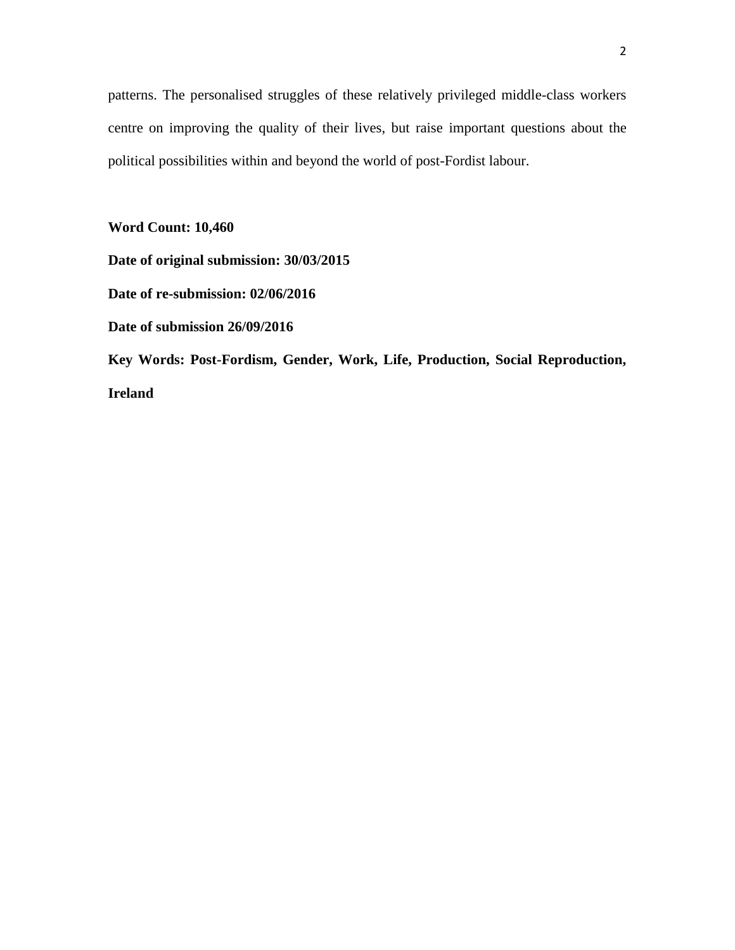patterns. The personalised struggles of these relatively privileged middle-class workers centre on improving the quality of their lives, but raise important questions about the political possibilities within and beyond the world of post-Fordist labour.

**Word Count: 10,460** 

**Date of original submission: 30/03/2015**

**Date of re-submission: 02/06/2016**

**Date of submission 26/09/2016**

**Key Words: Post-Fordism, Gender, Work, Life, Production, Social Reproduction, Ireland**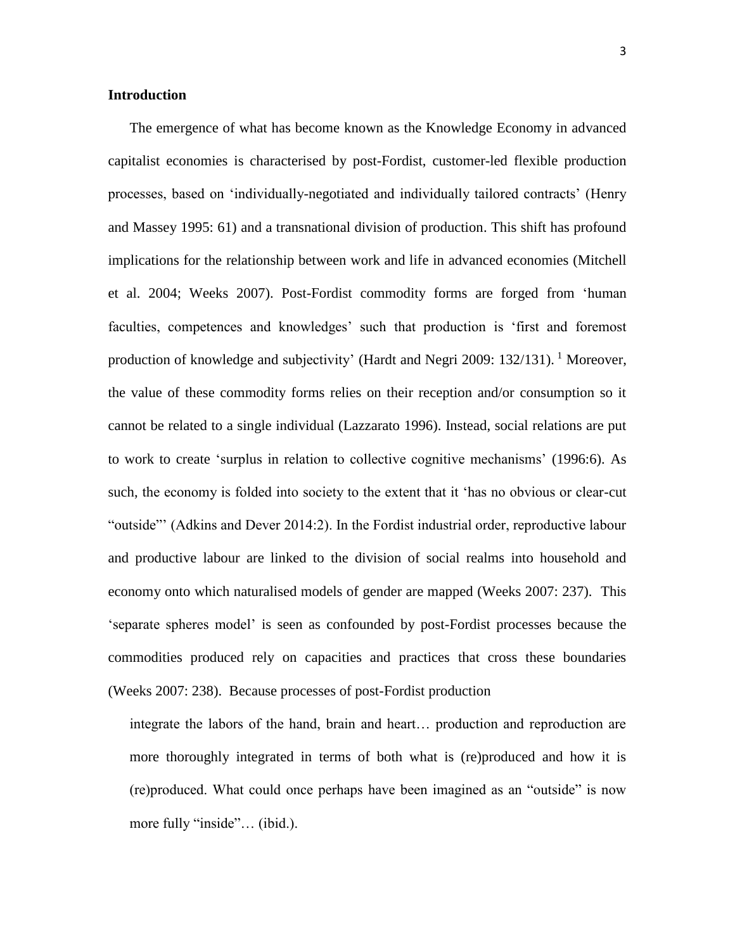# **Introduction**

The emergence of what has become known as the Knowledge Economy in advanced capitalist economies is characterised by post-Fordist, customer-led flexible production processes, based on 'individually-negotiated and individually tailored contracts' (Henry and Massey 1995: 61) and a transnational division of production. This shift has profound implications for the relationship between work and life in advanced economies (Mitchell et al. 2004; Weeks 2007). Post-Fordist commodity forms are forged from 'human faculties, competences and knowledges' such that production is 'first and foremost production of knowledge and subjectivity' (Hardt and Negri 2009: 132/131). <sup>1</sup> Moreover, the value of these commodity forms relies on their reception and/or consumption so it cannot be related to a single individual (Lazzarato 1996). Instead, social relations are put to work to create 'surplus in relation to collective cognitive mechanisms' (1996:6). As such, the economy is folded into society to the extent that it 'has no obvious or clear-cut "outside"' (Adkins and Dever 2014:2). In the Fordist industrial order, reproductive labour and productive labour are linked to the division of social realms into household and economy onto which naturalised models of gender are mapped (Weeks 2007: 237). This 'separate spheres model' is seen as confounded by post-Fordist processes because the commodities produced rely on capacities and practices that cross these boundaries (Weeks 2007: 238). Because processes of post-Fordist production

integrate the labors of the hand, brain and heart… production and reproduction are more thoroughly integrated in terms of both what is (re)produced and how it is (re)produced. What could once perhaps have been imagined as an "outside" is now more fully "inside"... (ibid.).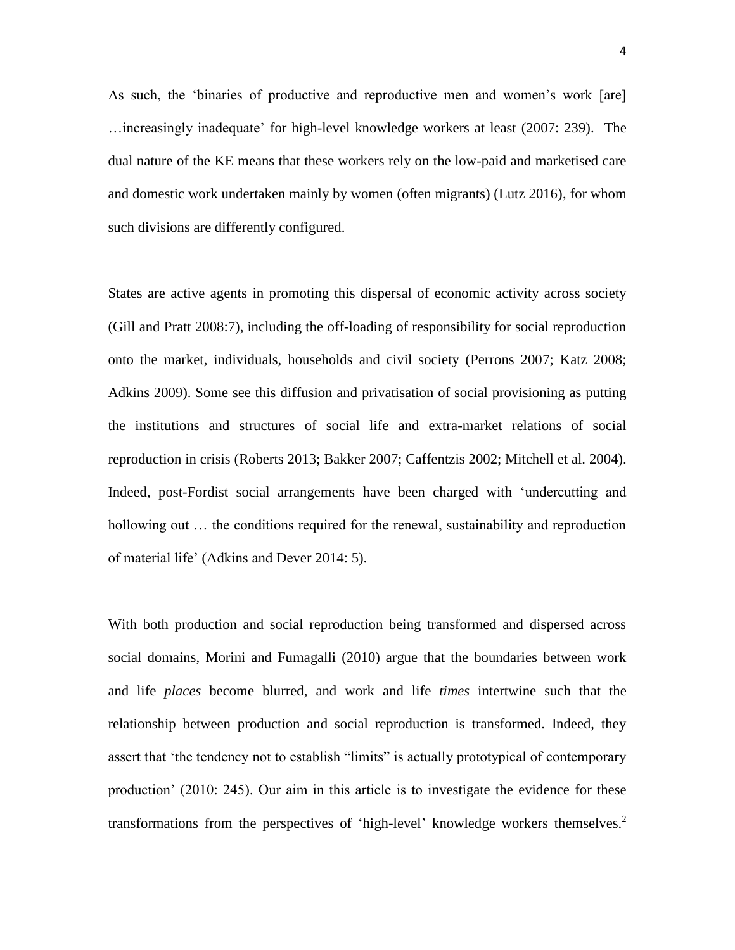As such, the 'binaries of productive and reproductive men and women's work [are] …increasingly inadequate' for high-level knowledge workers at least (2007: 239). The dual nature of the KE means that these workers rely on the low-paid and marketised care and domestic work undertaken mainly by women (often migrants) (Lutz 2016), for whom such divisions are differently configured.

States are active agents in promoting this dispersal of economic activity across society (Gill and Pratt 2008:7), including the off-loading of responsibility for social reproduction onto the market, individuals, households and civil society (Perrons 2007; Katz 2008; Adkins 2009). Some see this diffusion and privatisation of social provisioning as putting the institutions and structures of social life and extra-market relations of social reproduction in crisis (Roberts 2013; Bakker 2007; Caffentzis 2002; Mitchell et al. 2004). Indeed, post-Fordist social arrangements have been charged with 'undercutting and hollowing out ... the conditions required for the renewal, sustainability and reproduction of material life' (Adkins and Dever 2014: 5).

With both production and social reproduction being transformed and dispersed across social domains, Morini and Fumagalli (2010) argue that the boundaries between work and life *places* become blurred, and work and life *times* intertwine such that the relationship between production and social reproduction is transformed. Indeed, they assert that 'the tendency not to establish "limits" is actually prototypical of contemporary production' (2010: 245). Our aim in this article is to investigate the evidence for these transformations from the perspectives of 'high-level' knowledge workers themselves.<sup>2</sup>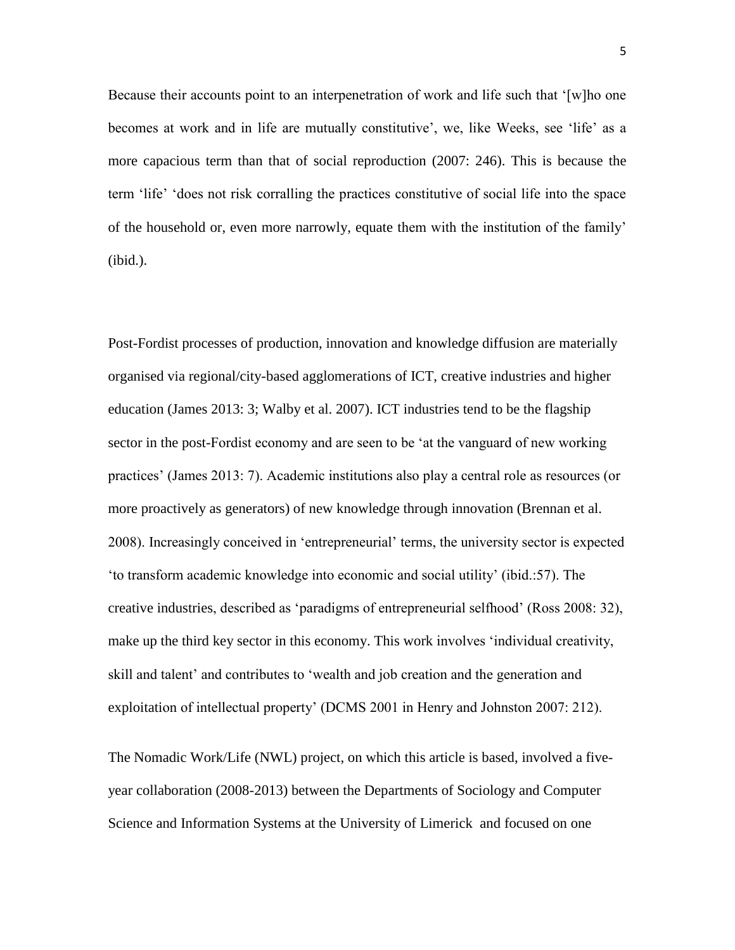Because their accounts point to an interpenetration of work and life such that '[w]ho one becomes at work and in life are mutually constitutive', we, like Weeks, see 'life' as a more capacious term than that of social reproduction (2007: 246). This is because the term 'life' 'does not risk corralling the practices constitutive of social life into the space of the household or, even more narrowly, equate them with the institution of the family' (ibid.).

Post-Fordist processes of production, innovation and knowledge diffusion are materially organised via regional/city-based agglomerations of ICT, creative industries and higher education (James 2013: 3; Walby et al. 2007). ICT industries tend to be the flagship sector in the post-Fordist economy and are seen to be 'at the vanguard of new working practices' (James 2013: 7). Academic institutions also play a central role as resources (or more proactively as generators) of new knowledge through innovation (Brennan et al. 2008). Increasingly conceived in 'entrepreneurial' terms, the university sector is expected 'to transform academic knowledge into economic and social utility' (ibid.:57). The creative industries, described as 'paradigms of entrepreneurial selfhood' (Ross 2008: 32), make up the third key sector in this economy. This work involves 'individual creativity, skill and talent' and contributes to 'wealth and job creation and the generation and exploitation of intellectual property' (DCMS 2001 in Henry and Johnston 2007: 212).

The Nomadic Work/Life (NWL) project, on which this article is based, involved a fiveyear collaboration (2008-2013) between the Departments of Sociology and Computer Science and Information Systems at the University of Limerick and focused on one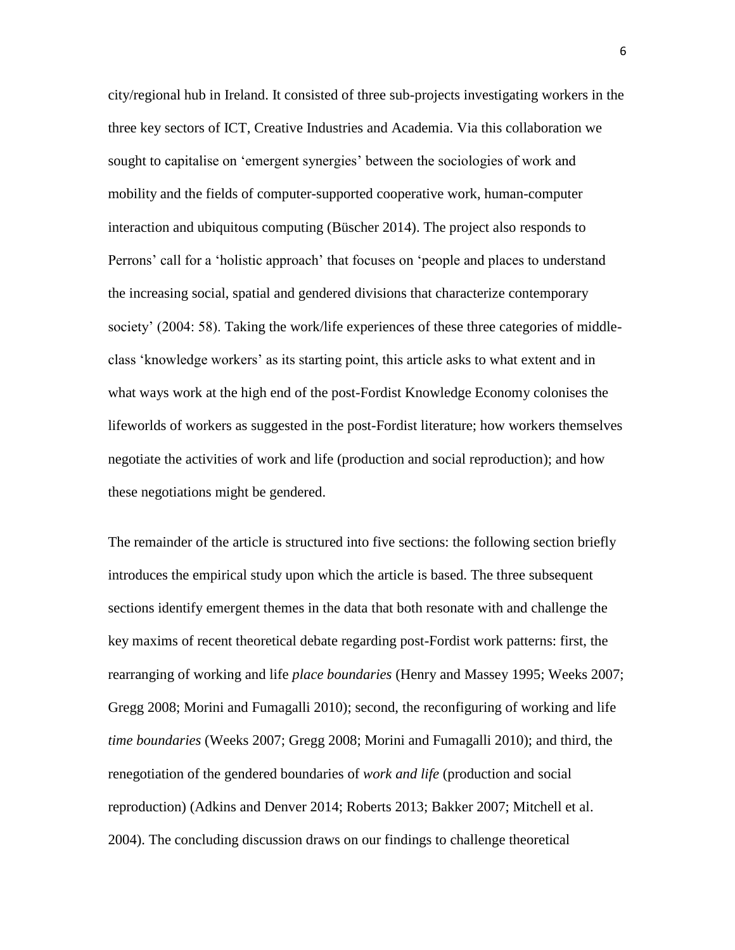city/regional hub in Ireland. It consisted of three sub-projects investigating workers in the three key sectors of ICT, Creative Industries and Academia. Via this collaboration we sought to capitalise on 'emergent synergies' between the sociologies of work and mobility and the fields of computer-supported cooperative work, human-computer interaction and ubiquitous computing (Büscher 2014). The project also responds to Perrons' call for a 'holistic approach' that focuses on 'people and places to understand the increasing social, spatial and gendered divisions that characterize contemporary society' (2004: 58). Taking the work/life experiences of these three categories of middleclass 'knowledge workers' as its starting point, this article asks to what extent and in what ways work at the high end of the post-Fordist Knowledge Economy colonises the lifeworlds of workers as suggested in the post-Fordist literature; how workers themselves negotiate the activities of work and life (production and social reproduction); and how these negotiations might be gendered.

The remainder of the article is structured into five sections: the following section briefly introduces the empirical study upon which the article is based. The three subsequent sections identify emergent themes in the data that both resonate with and challenge the key maxims of recent theoretical debate regarding post-Fordist work patterns: first, the rearranging of working and life *place boundaries* (Henry and Massey 1995; Weeks 2007; Gregg 2008; Morini and Fumagalli 2010); second, the reconfiguring of working and life *time boundaries* (Weeks 2007; Gregg 2008; Morini and Fumagalli 2010); and third, the renegotiation of the gendered boundaries of *work and life* (production and social reproduction) (Adkins and Denver 2014; Roberts 2013; Bakker 2007; Mitchell et al. 2004). The concluding discussion draws on our findings to challenge theoretical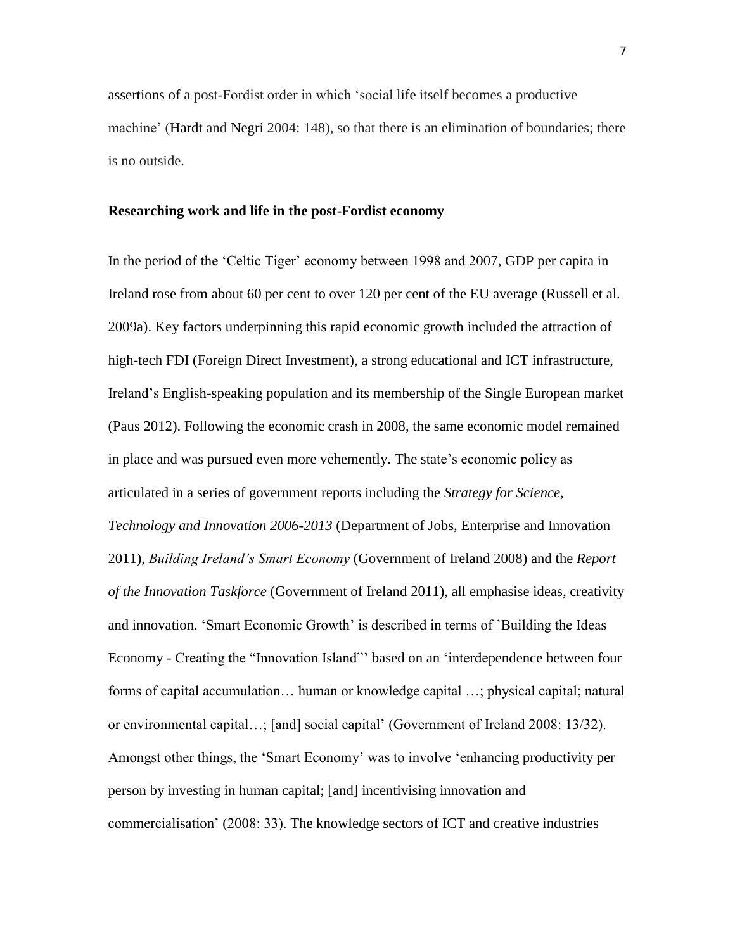assertions of a post-Fordist order in which 'social life itself becomes a productive machine' (Hardt and Negri 2004: 148), so that there is an elimination of boundaries; there is no outside.

## **Researching work and life in the post-Fordist economy**

In the period of the 'Celtic Tiger' economy between 1998 and 2007, GDP per capita in Ireland rose from about 60 per cent to over 120 per cent of the EU average (Russell et al. 2009a). Key factors underpinning this rapid economic growth included the attraction of high-tech FDI (Foreign Direct Investment), a strong educational and ICT infrastructure, Ireland's English-speaking population and its membership of the Single European market (Paus 2012). Following the economic crash in 2008, the same economic model remained in place and was pursued even more vehemently. The state's economic policy as articulated in a series of government reports including the *Strategy for Science, Technology and Innovation 2006-2013* (Department of Jobs, Enterprise and Innovation 2011), *Building Ireland's Smart Economy* (Government of Ireland 2008) and the *Report of the Innovation Taskforce* (Government of Ireland 2011), all emphasise ideas, creativity and innovation. 'Smart Economic Growth' is described in terms of 'Building the Ideas Economy - Creating the "Innovation Island"' based on an 'interdependence between four forms of capital accumulation… human or knowledge capital …; physical capital; natural or environmental capital…; [and] social capital' (Government of Ireland 2008: 13/32). Amongst other things, the 'Smart Economy' was to involve 'enhancing productivity per person by investing in human capital; [and] incentivising innovation and commercialisation' (2008: 33). The knowledge sectors of ICT and creative industries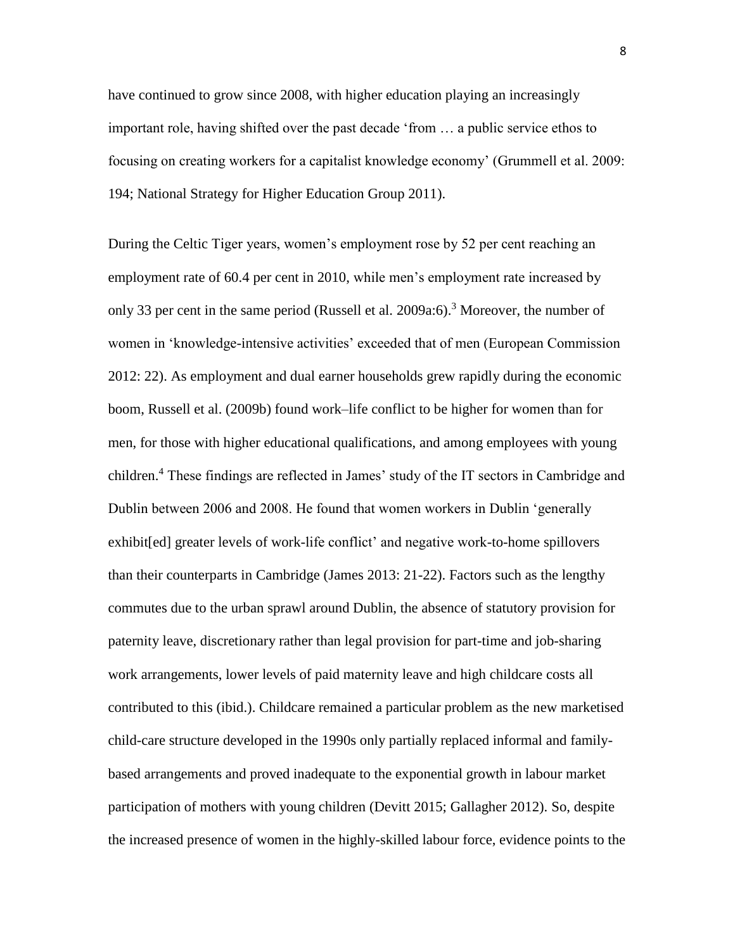have continued to grow since 2008, with higher education playing an increasingly important role, having shifted over the past decade 'from … a public service ethos to focusing on creating workers for a capitalist knowledge economy' (Grummell et al. 2009: 194; National Strategy for Higher Education Group 2011).

During the Celtic Tiger years, women's employment rose by 52 per cent reaching an employment rate of 60.4 per cent in 2010, while men's employment rate increased by only 33 per cent in the same period (Russell et al. 2009a:6).<sup>3</sup> Moreover, the number of women in 'knowledge-intensive activities' exceeded that of men (European Commission 2012: 22). As employment and dual earner households grew rapidly during the economic boom, Russell et al. (2009b) found work–life conflict to be higher for women than for men, for those with higher educational qualifications, and among employees with young children.<sup>4</sup> These findings are reflected in James' study of the IT sectors in Cambridge and Dublin between 2006 and 2008. He found that women workers in Dublin 'generally exhibit[ed] greater levels of work-life conflict' and negative work-to-home spillovers than their counterparts in Cambridge (James 2013: 21-22). Factors such as the lengthy commutes due to the urban sprawl around Dublin, the absence of statutory provision for paternity leave, discretionary rather than legal provision for part-time and job-sharing work arrangements, lower levels of paid maternity leave and high childcare costs all contributed to this (ibid.). Childcare remained a particular problem as the new marketised child-care structure developed in the 1990s only partially replaced informal and familybased arrangements and proved inadequate to the exponential growth in labour market participation of mothers with young children (Devitt 2015; Gallagher 2012). So, despite the increased presence of women in the highly-skilled labour force, evidence points to the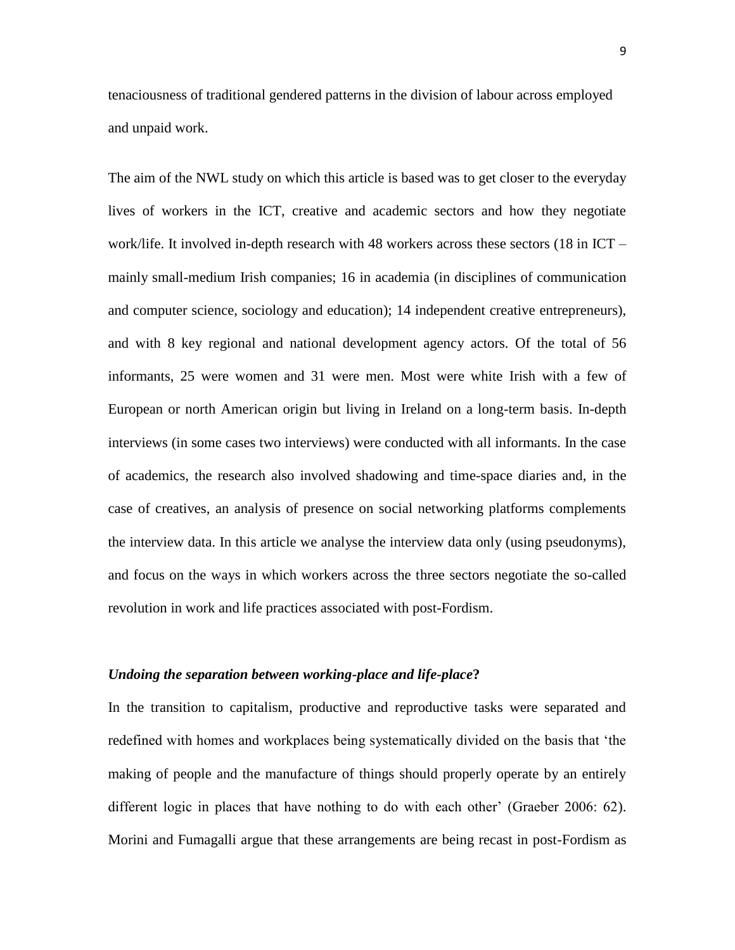tenaciousness of traditional gendered patterns in the division of labour across employed and unpaid work.

The aim of the NWL study on which this article is based was to get closer to the everyday lives of workers in the ICT, creative and academic sectors and how they negotiate work/life. It involved in-depth research with 48 workers across these sectors (18 in ICT – mainly small-medium Irish companies; 16 in academia (in disciplines of communication and computer science, sociology and education); 14 independent creative entrepreneurs), and with 8 key regional and national development agency actors. Of the total of 56 informants, 25 were women and 31 were men. Most were white Irish with a few of European or north American origin but living in Ireland on a long-term basis. In-depth interviews (in some cases two interviews) were conducted with all informants. In the case of academics, the research also involved shadowing and time-space diaries and, in the case of creatives, an analysis of presence on social networking platforms complements the interview data. In this article we analyse the interview data only (using pseudonyms), and focus on the ways in which workers across the three sectors negotiate the so-called revolution in work and life practices associated with post-Fordism.

# *Undoing the separation between working-place and life-place***?**

In the transition to capitalism, productive and reproductive tasks were separated and redefined with homes and workplaces being systematically divided on the basis that 'the making of people and the manufacture of things should properly operate by an entirely different logic in places that have nothing to do with each other' (Graeber 2006: 62). Morini and Fumagalli argue that these arrangements are being recast in post-Fordism as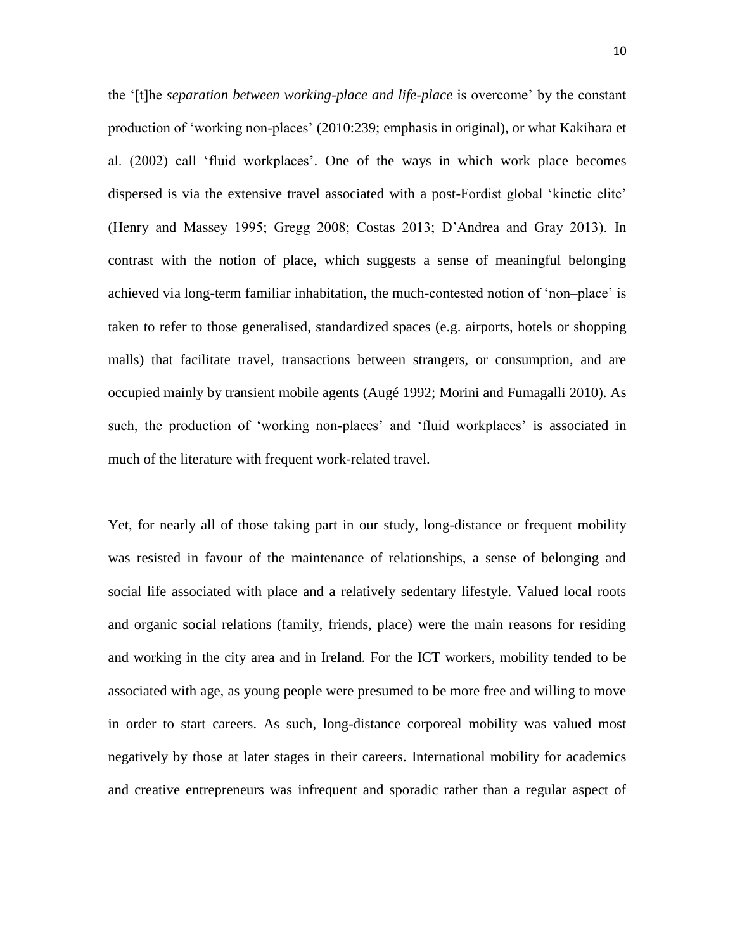the '[t]he *separation between working-place and life-place* is overcome' by the constant production of 'working non-places' (2010:239; emphasis in original), or what Kakihara et al. (2002) call 'fluid workplaces'. One of the ways in which work place becomes dispersed is via the extensive travel associated with a post-Fordist global 'kinetic elite' (Henry and Massey 1995; Gregg 2008; Costas 2013; D'Andrea and Gray 2013). In contrast with the notion of place, which suggests a sense of meaningful belonging achieved via long-term familiar inhabitation, the much-contested notion of 'non–place' is taken to refer to those generalised, standardized spaces (e.g. airports, hotels or shopping malls) that facilitate travel, transactions between strangers, or consumption, and are occupied mainly by transient mobile agents (Augé 1992; Morini and Fumagalli 2010). As such, the production of 'working non-places' and 'fluid workplaces' is associated in much of the literature with frequent work-related travel.

Yet, for nearly all of those taking part in our study, long-distance or frequent mobility was resisted in favour of the maintenance of relationships, a sense of belonging and social life associated with place and a relatively sedentary lifestyle. Valued local roots and organic social relations (family, friends, place) were the main reasons for residing and working in the city area and in Ireland. For the ICT workers, mobility tended to be associated with age, as young people were presumed to be more free and willing to move in order to start careers. As such, long-distance corporeal mobility was valued most negatively by those at later stages in their careers. International mobility for academics and creative entrepreneurs was infrequent and sporadic rather than a regular aspect of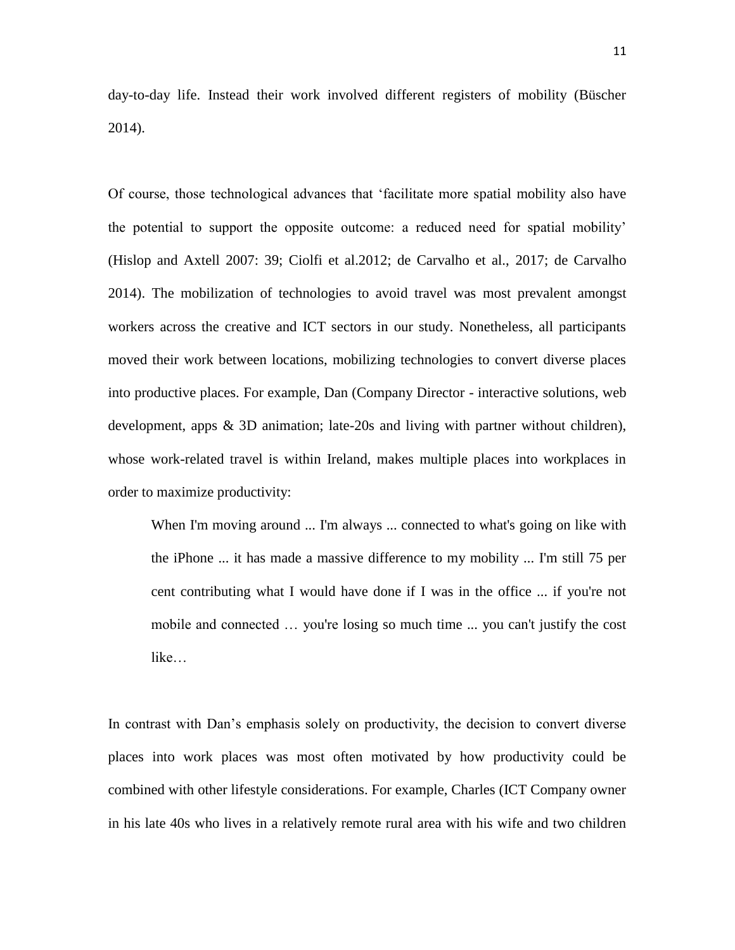day-to-day life. Instead their work involved different registers of mobility (Büscher 2014).

Of course, those technological advances that 'facilitate more spatial mobility also have the potential to support the opposite outcome: a reduced need for spatial mobility' (Hislop and Axtell 2007: 39; Ciolfi et al.2012; de Carvalho et al., 2017; de Carvalho 2014). The mobilization of technologies to avoid travel was most prevalent amongst workers across the creative and ICT sectors in our study. Nonetheless, all participants moved their work between locations, mobilizing technologies to convert diverse places into productive places. For example, Dan (Company Director - interactive solutions, web development, apps & 3D animation; late-20s and living with partner without children), whose work-related travel is within Ireland, makes multiple places into workplaces in order to maximize productivity:

When I'm moving around ... I'm always ... connected to what's going on like with the iPhone ... it has made a massive difference to my mobility ... I'm still 75 per cent contributing what I would have done if I was in the office ... if you're not mobile and connected … you're losing so much time ... you can't justify the cost like…

In contrast with Dan's emphasis solely on productivity, the decision to convert diverse places into work places was most often motivated by how productivity could be combined with other lifestyle considerations. For example, Charles (ICT Company owner in his late 40s who lives in a relatively remote rural area with his wife and two children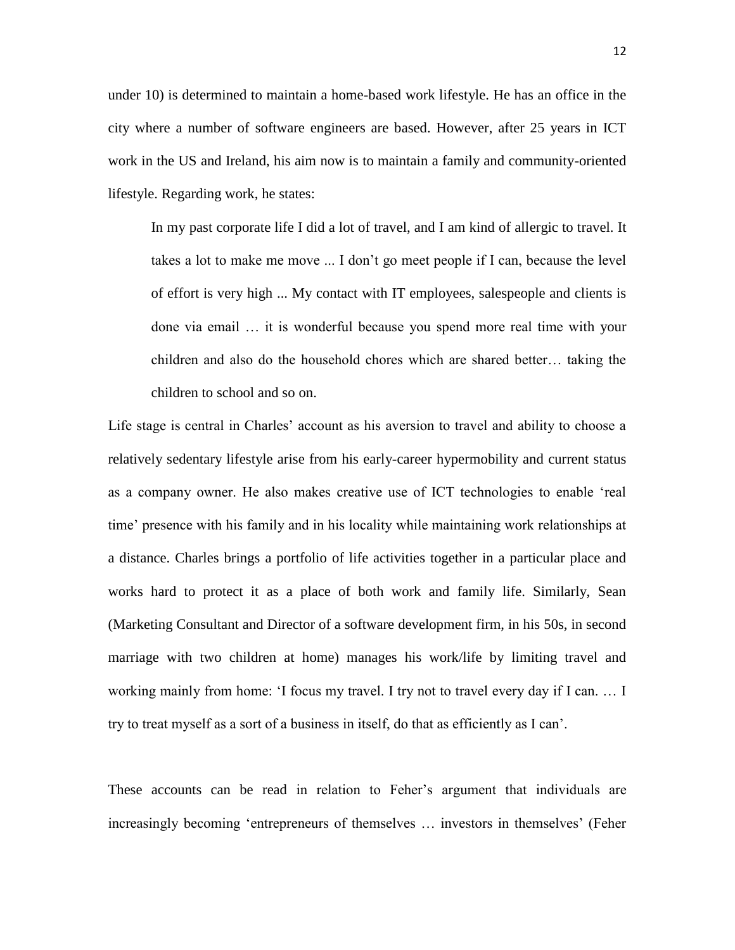under 10) is determined to maintain a home-based work lifestyle. He has an office in the city where a number of software engineers are based. However, after 25 years in ICT work in the US and Ireland, his aim now is to maintain a family and community-oriented lifestyle. Regarding work, he states:

In my past corporate life I did a lot of travel, and I am kind of allergic to travel. It takes a lot to make me move ... I don't go meet people if I can, because the level of effort is very high ... My contact with IT employees, salespeople and clients is done via email … it is wonderful because you spend more real time with your children and also do the household chores which are shared better… taking the children to school and so on.

Life stage is central in Charles' account as his aversion to travel and ability to choose a relatively sedentary lifestyle arise from his early-career hypermobility and current status as a company owner. He also makes creative use of ICT technologies to enable 'real time' presence with his family and in his locality while maintaining work relationships at a distance. Charles brings a portfolio of life activities together in a particular place and works hard to protect it as a place of both work and family life. Similarly, Sean (Marketing Consultant and Director of a software development firm, in his 50s, in second marriage with two children at home) manages his work/life by limiting travel and working mainly from home: 'I focus my travel. I try not to travel every day if I can. … I try to treat myself as a sort of a business in itself, do that as efficiently as I can'.

These accounts can be read in relation to Feher's argument that individuals are increasingly becoming 'entrepreneurs of themselves … investors in themselves' (Feher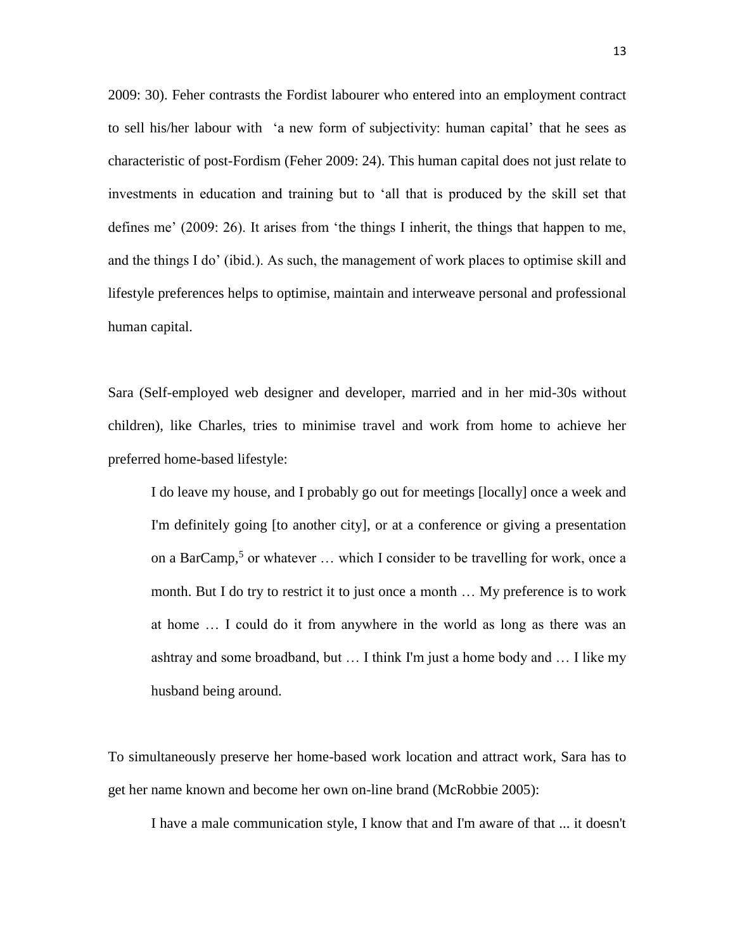2009: 30). Feher contrasts the Fordist labourer who entered into an employment contract to sell his/her labour with 'a new form of subjectivity: human capital' that he sees as characteristic of post-Fordism (Feher 2009: 24). This human capital does not just relate to investments in education and training but to 'all that is produced by the skill set that defines me' (2009: 26). It arises from 'the things I inherit, the things that happen to me, and the things I do' (ibid.). As such, the management of work places to optimise skill and lifestyle preferences helps to optimise, maintain and interweave personal and professional human capital.

Sara (Self-employed web designer and developer, married and in her mid-30s without children), like Charles, tries to minimise travel and work from home to achieve her preferred home-based lifestyle:

I do leave my house, and I probably go out for meetings [locally] once a week and I'm definitely going [to another city], or at a conference or giving a presentation on a BarCamp,<sup>5</sup> or whatever  $\dots$  which I consider to be travelling for work, once a month. But I do try to restrict it to just once a month … My preference is to work at home … I could do it from anywhere in the world as long as there was an ashtray and some broadband, but … I think I'm just a home body and … I like my husband being around.

To simultaneously preserve her home-based work location and attract work, Sara has to get her name known and become her own on-line brand (McRobbie 2005):

I have a male communication style, I know that and I'm aware of that ... it doesn't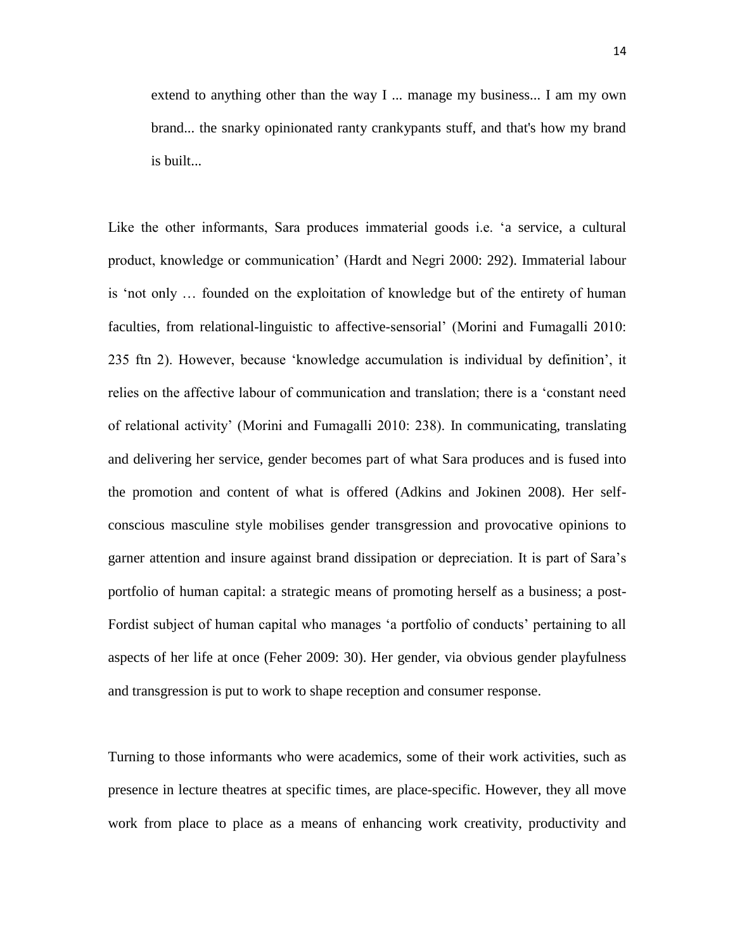extend to anything other than the way I ... manage my business... I am my own brand... the snarky opinionated ranty crankypants stuff, and that's how my brand is built...

Like the other informants, Sara produces immaterial goods i.e. 'a service, a cultural product, knowledge or communication' (Hardt and Negri 2000: 292). Immaterial labour is 'not only … founded on the exploitation of knowledge but of the entirety of human faculties, from relational-linguistic to affective-sensorial' (Morini and Fumagalli 2010: 235 ftn 2). However, because 'knowledge accumulation is individual by definition', it relies on the affective labour of communication and translation; there is a 'constant need of relational activity' (Morini and Fumagalli 2010: 238). In communicating, translating and delivering her service, gender becomes part of what Sara produces and is fused into the promotion and content of what is offered (Adkins and Jokinen 2008). Her selfconscious masculine style mobilises gender transgression and provocative opinions to garner attention and insure against brand dissipation or depreciation. It is part of Sara's portfolio of human capital: a strategic means of promoting herself as a business; a post-Fordist subject of human capital who manages 'a portfolio of conducts' pertaining to all aspects of her life at once (Feher 2009: 30). Her gender, via obvious gender playfulness and transgression is put to work to shape reception and consumer response.

Turning to those informants who were academics, some of their work activities, such as presence in lecture theatres at specific times, are place-specific. However, they all move work from place to place as a means of enhancing work creativity, productivity and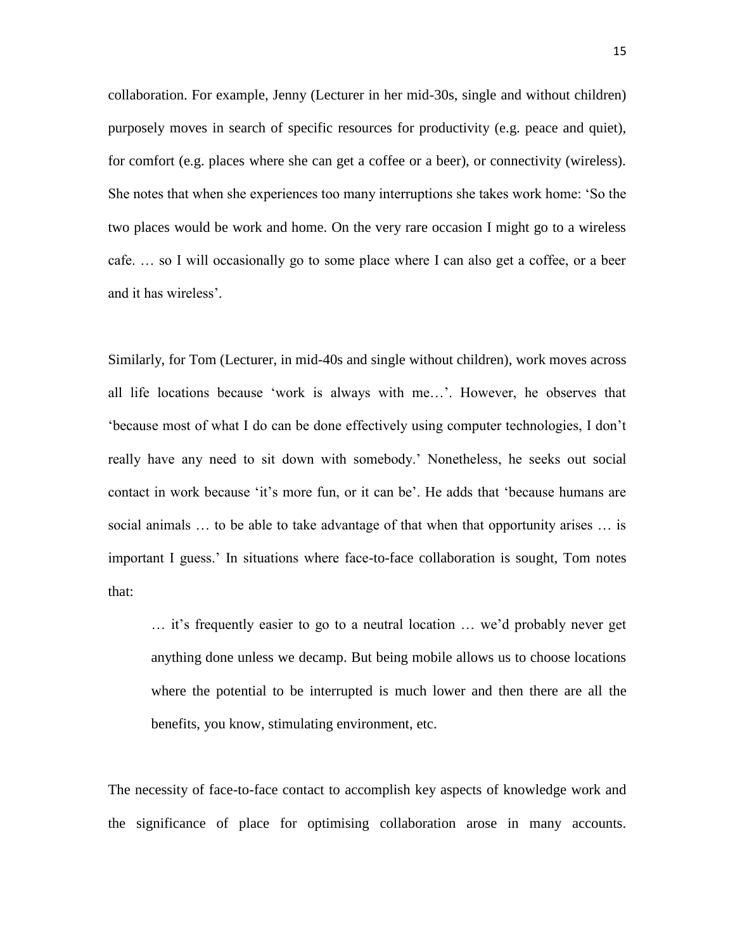collaboration. For example, Jenny (Lecturer in her mid-30s, single and without children) purposely moves in search of specific resources for productivity (e.g. peace and quiet), for comfort (e.g. places where she can get a coffee or a beer), or connectivity (wireless). She notes that when she experiences too many interruptions she takes work home: 'So the two places would be work and home. On the very rare occasion I might go to a wireless cafe. … so I will occasionally go to some place where I can also get a coffee, or a beer and it has wireless'.

Similarly, for Tom (Lecturer, in mid-40s and single without children), work moves across all life locations because 'work is always with me…'. However, he observes that 'because most of what I do can be done effectively using computer technologies, I don't really have any need to sit down with somebody.' Nonetheless, he seeks out social contact in work because 'it's more fun, or it can be'. He adds that 'because humans are social animals … to be able to take advantage of that when that opportunity arises … is important I guess.' In situations where face-to-face collaboration is sought, Tom notes that:

… it's frequently easier to go to a neutral location … we'd probably never get anything done unless we decamp. But being mobile allows us to choose locations where the potential to be interrupted is much lower and then there are all the benefits, you know, stimulating environment, etc.

The necessity of face-to-face contact to accomplish key aspects of knowledge work and the significance of place for optimising collaboration arose in many accounts.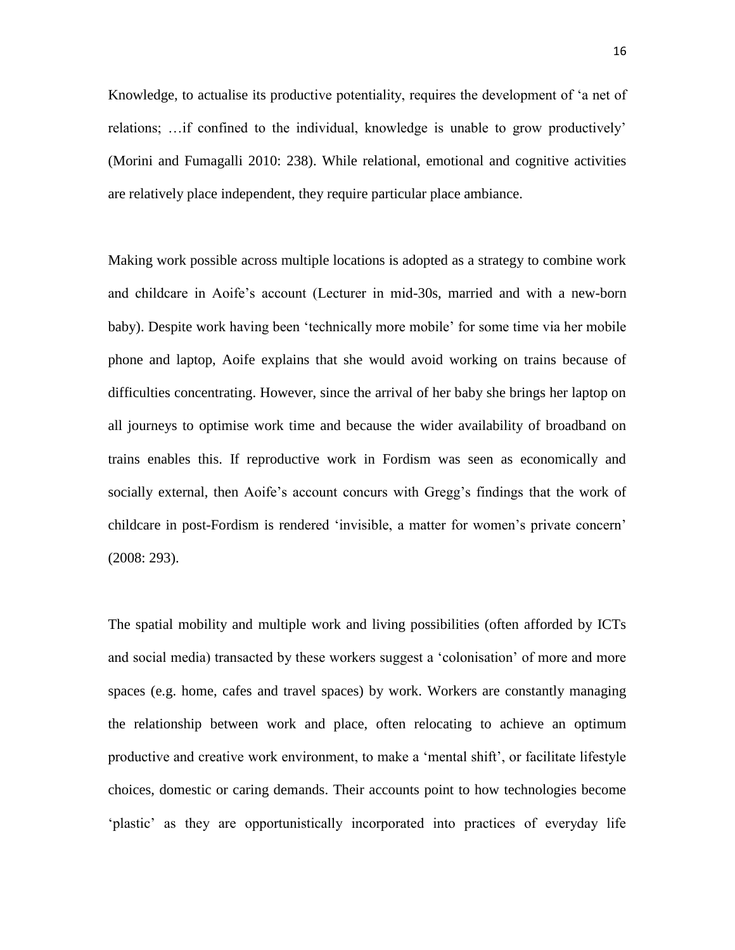Knowledge, to actualise its productive potentiality, requires the development of 'a net of relations; …if confined to the individual, knowledge is unable to grow productively' (Morini and Fumagalli 2010: 238). While relational, emotional and cognitive activities are relatively place independent, they require particular place ambiance.

Making work possible across multiple locations is adopted as a strategy to combine work and childcare in Aoife's account (Lecturer in mid-30s, married and with a new-born baby). Despite work having been 'technically more mobile' for some time via her mobile phone and laptop, Aoife explains that she would avoid working on trains because of difficulties concentrating. However, since the arrival of her baby she brings her laptop on all journeys to optimise work time and because the wider availability of broadband on trains enables this. If reproductive work in Fordism was seen as economically and socially external, then Aoife's account concurs with Gregg's findings that the work of childcare in post-Fordism is rendered 'invisible, a matter for women's private concern' (2008: 293).

The spatial mobility and multiple work and living possibilities (often afforded by ICTs and social media) transacted by these workers suggest a 'colonisation' of more and more spaces (e.g. home, cafes and travel spaces) by work. Workers are constantly managing the relationship between work and place, often relocating to achieve an optimum productive and creative work environment, to make a 'mental shift', or facilitate lifestyle choices, domestic or caring demands. Their accounts point to how technologies become 'plastic' as they are opportunistically incorporated into practices of everyday life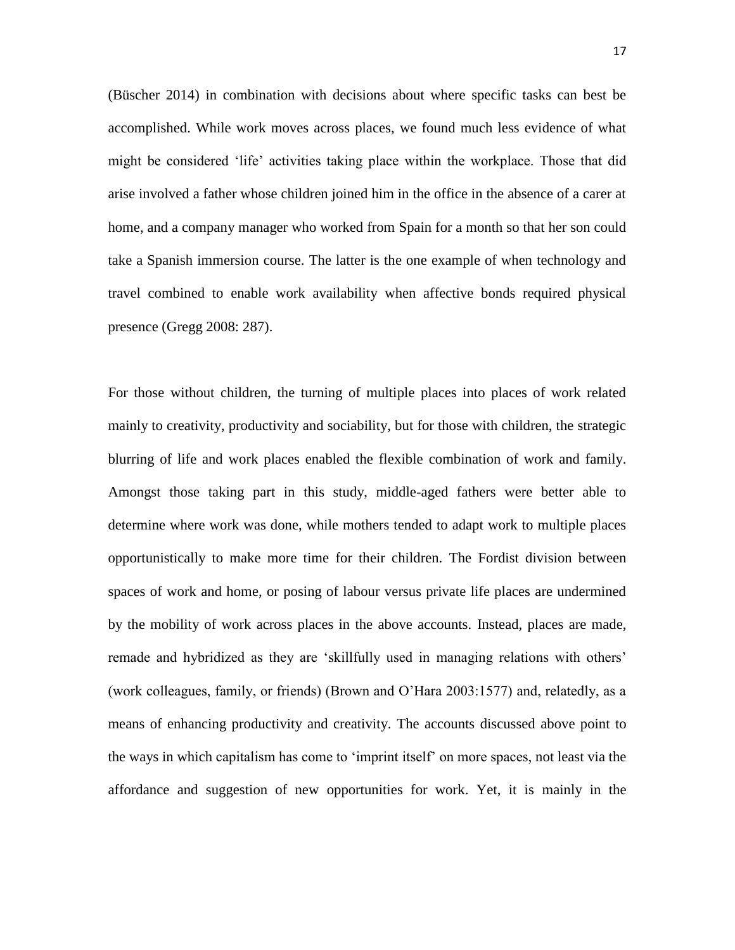(Büscher 2014) in combination with decisions about where specific tasks can best be accomplished. While work moves across places, we found much less evidence of what might be considered 'life' activities taking place within the workplace. Those that did arise involved a father whose children joined him in the office in the absence of a carer at home, and a company manager who worked from Spain for a month so that her son could take a Spanish immersion course. The latter is the one example of when technology and travel combined to enable work availability when affective bonds required physical presence (Gregg 2008: 287).

For those without children, the turning of multiple places into places of work related mainly to creativity, productivity and sociability, but for those with children, the strategic blurring of life and work places enabled the flexible combination of work and family. Amongst those taking part in this study, middle-aged fathers were better able to determine where work was done, while mothers tended to adapt work to multiple places opportunistically to make more time for their children. The Fordist division between spaces of work and home, or posing of labour versus private life places are undermined by the mobility of work across places in the above accounts. Instead, places are made, remade and hybridized as they are 'skillfully used in managing relations with others' (work colleagues, family, or friends) (Brown and O'Hara 2003:1577) and, relatedly, as a means of enhancing productivity and creativity. The accounts discussed above point to the ways in which capitalism has come to 'imprint itself' on more spaces, not least via the affordance and suggestion of new opportunities for work. Yet, it is mainly in the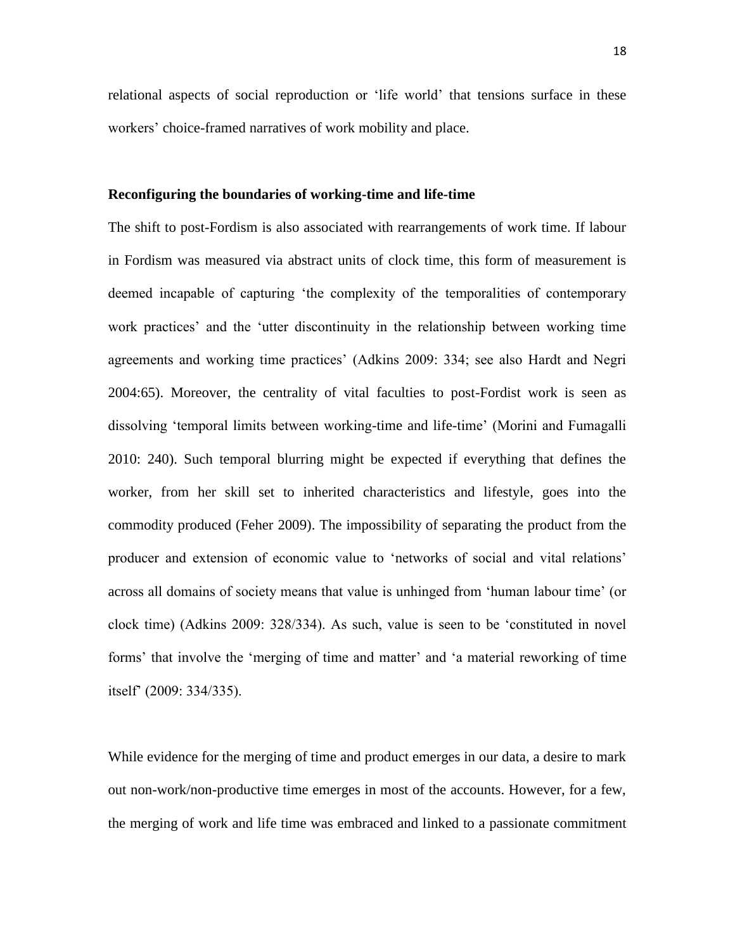relational aspects of social reproduction or 'life world' that tensions surface in these workers' choice-framed narratives of work mobility and place.

# **Reconfiguring the boundaries of working-time and life-time**

The shift to post-Fordism is also associated with rearrangements of work time. If labour in Fordism was measured via abstract units of clock time, this form of measurement is deemed incapable of capturing 'the complexity of the temporalities of contemporary work practices' and the 'utter discontinuity in the relationship between working time agreements and working time practices' (Adkins 2009: 334; see also Hardt and Negri 2004:65). Moreover, the centrality of vital faculties to post-Fordist work is seen as dissolving 'temporal limits between working-time and life-time' (Morini and Fumagalli 2010: 240). Such temporal blurring might be expected if everything that defines the worker, from her skill set to inherited characteristics and lifestyle, goes into the commodity produced (Feher 2009). The impossibility of separating the product from the producer and extension of economic value to 'networks of social and vital relations' across all domains of society means that value is unhinged from 'human labour time' (or clock time) (Adkins 2009: 328/334). As such, value is seen to be 'constituted in novel forms' that involve the 'merging of time and matter' and 'a material reworking of time itself' (2009: 334/335).

While evidence for the merging of time and product emerges in our data, a desire to mark out non-work/non-productive time emerges in most of the accounts. However, for a few, the merging of work and life time was embraced and linked to a passionate commitment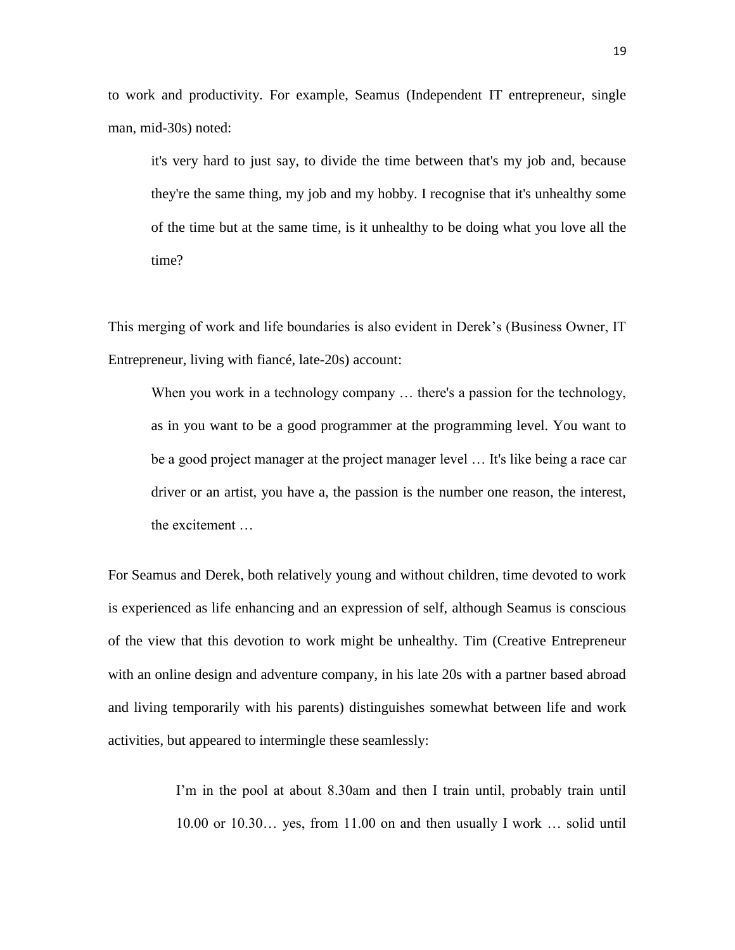to work and productivity. For example, Seamus (Independent IT entrepreneur, single man, mid-30s) noted:

it's very hard to just say, to divide the time between that's my job and, because they're the same thing, my job and my hobby. I recognise that it's unhealthy some of the time but at the same time, is it unhealthy to be doing what you love all the time?

This merging of work and life boundaries is also evident in Derek's (Business Owner, IT Entrepreneur, living with fiancé, late-20s) account:

When you work in a technology company ... there's a passion for the technology, as in you want to be a good programmer at the programming level. You want to be a good project manager at the project manager level … It's like being a race car driver or an artist, you have a, the passion is the number one reason, the interest, the excitement …

For Seamus and Derek, both relatively young and without children, time devoted to work is experienced as life enhancing and an expression of self, although Seamus is conscious of the view that this devotion to work might be unhealthy. Tim (Creative Entrepreneur with an online design and adventure company, in his late 20s with a partner based abroad and living temporarily with his parents) distinguishes somewhat between life and work activities, but appeared to intermingle these seamlessly:

> I'm in the pool at about 8.30am and then I train until, probably train until 10.00 or 10.30… yes, from 11.00 on and then usually I work … solid until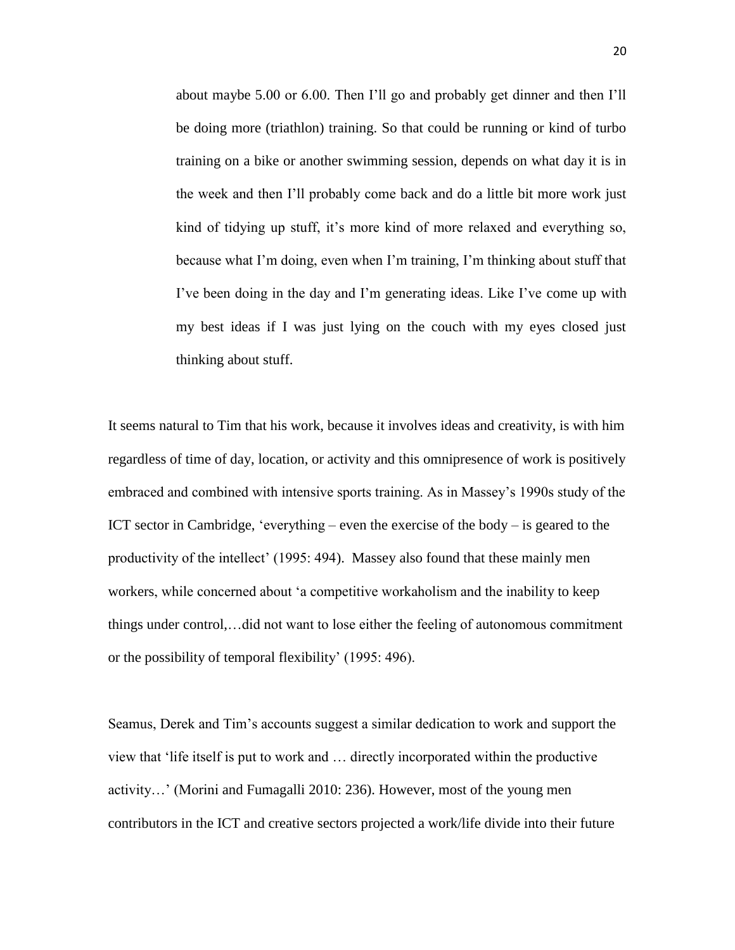about maybe 5.00 or 6.00. Then I'll go and probably get dinner and then I'll be doing more (triathlon) training. So that could be running or kind of turbo training on a bike or another swimming session, depends on what day it is in the week and then I'll probably come back and do a little bit more work just kind of tidying up stuff, it's more kind of more relaxed and everything so, because what I'm doing, even when I'm training, I'm thinking about stuff that I've been doing in the day and I'm generating ideas. Like I've come up with my best ideas if I was just lying on the couch with my eyes closed just thinking about stuff.

It seems natural to Tim that his work, because it involves ideas and creativity, is with him regardless of time of day, location, or activity and this omnipresence of work is positively embraced and combined with intensive sports training. As in Massey's 1990s study of the ICT sector in Cambridge, 'everything – even the exercise of the body – is geared to the productivity of the intellect' (1995: 494). Massey also found that these mainly men workers, while concerned about 'a competitive workaholism and the inability to keep things under control,…did not want to lose either the feeling of autonomous commitment or the possibility of temporal flexibility' (1995: 496).

Seamus, Derek and Tim's accounts suggest a similar dedication to work and support the view that 'life itself is put to work and … directly incorporated within the productive activity…' (Morini and Fumagalli 2010: 236). However, most of the young men contributors in the ICT and creative sectors projected a work/life divide into their future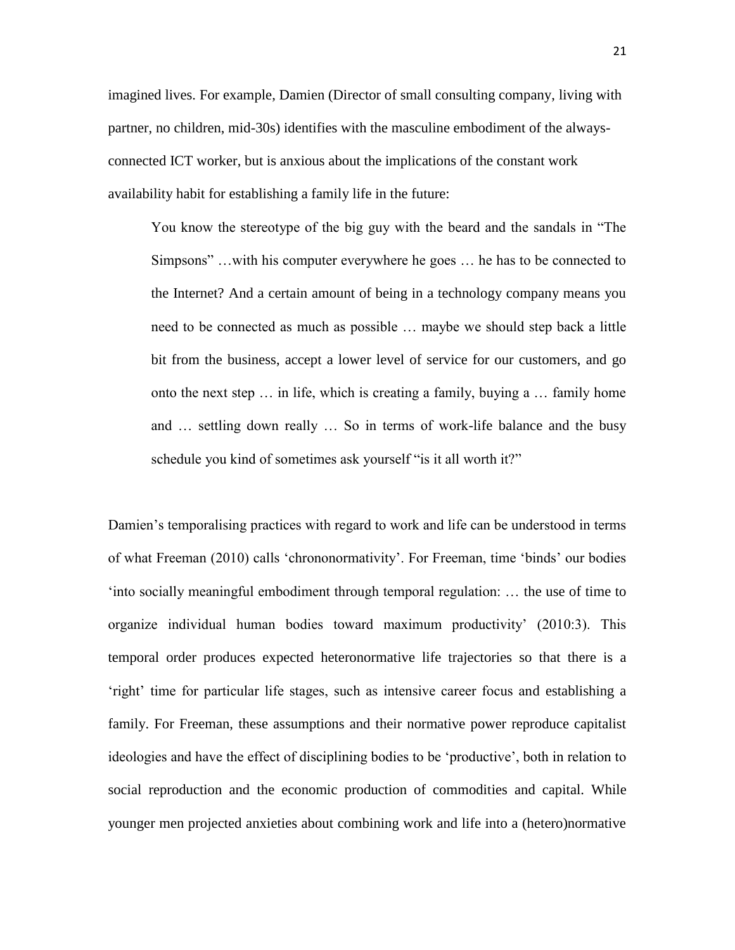imagined lives. For example, Damien (Director of small consulting company, living with partner, no children, mid-30s) identifies with the masculine embodiment of the alwaysconnected ICT worker, but is anxious about the implications of the constant work availability habit for establishing a family life in the future:

You know the stereotype of the big guy with the beard and the sandals in "The Simpsons" …with his computer everywhere he goes … he has to be connected to the Internet? And a certain amount of being in a technology company means you need to be connected as much as possible … maybe we should step back a little bit from the business, accept a lower level of service for our customers, and go onto the next step … in life, which is creating a family, buying a … family home and … settling down really … So in terms of work-life balance and the busy schedule you kind of sometimes ask yourself "is it all worth it?"

Damien's temporalising practices with regard to work and life can be understood in terms of what Freeman (2010) calls 'chrononormativity'. For Freeman, time 'binds' our bodies 'into socially meaningful embodiment through temporal regulation: … the use of time to organize individual human bodies toward maximum productivity' (2010:3). This temporal order produces expected heteronormative life trajectories so that there is a 'right' time for particular life stages, such as intensive career focus and establishing a family. For Freeman, these assumptions and their normative power reproduce capitalist ideologies and have the effect of disciplining bodies to be 'productive', both in relation to social reproduction and the economic production of commodities and capital. While younger men projected anxieties about combining work and life into a (hetero)normative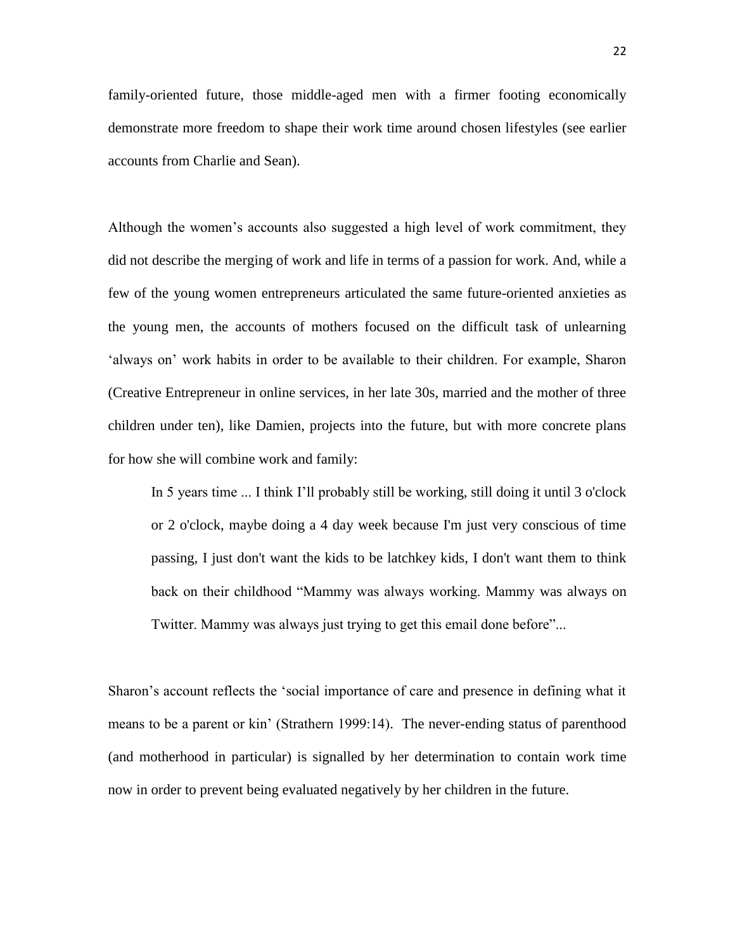family-oriented future, those middle-aged men with a firmer footing economically demonstrate more freedom to shape their work time around chosen lifestyles (see earlier accounts from Charlie and Sean).

Although the women's accounts also suggested a high level of work commitment, they did not describe the merging of work and life in terms of a passion for work. And, while a few of the young women entrepreneurs articulated the same future-oriented anxieties as the young men, the accounts of mothers focused on the difficult task of unlearning 'always on' work habits in order to be available to their children. For example, Sharon (Creative Entrepreneur in online services, in her late 30s, married and the mother of three children under ten), like Damien, projects into the future, but with more concrete plans for how she will combine work and family:

In 5 years time ... I think I'll probably still be working, still doing it until 3 o'clock or 2 o'clock, maybe doing a 4 day week because I'm just very conscious of time passing, I just don't want the kids to be latchkey kids, I don't want them to think back on their childhood "Mammy was always working. Mammy was always on Twitter. Mammy was always just trying to get this email done before"...

Sharon's account reflects the 'social importance of care and presence in defining what it means to be a parent or kin' (Strathern 1999:14). The never-ending status of parenthood (and motherhood in particular) is signalled by her determination to contain work time now in order to prevent being evaluated negatively by her children in the future.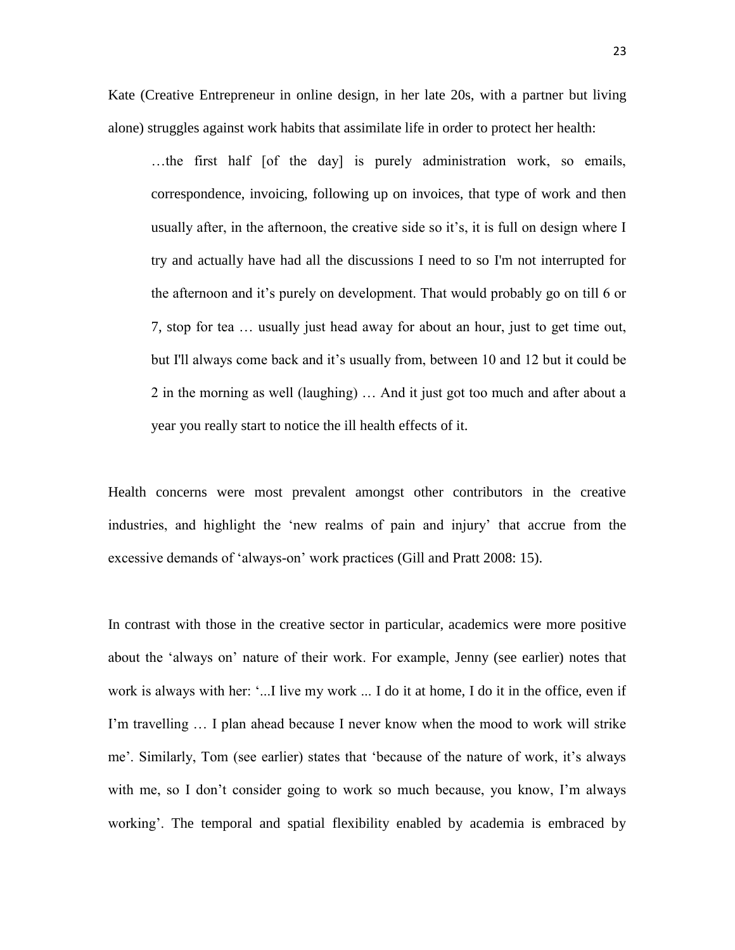Kate (Creative Entrepreneur in online design, in her late 20s, with a partner but living alone) struggles against work habits that assimilate life in order to protect her health:

…the first half [of the day] is purely administration work, so emails, correspondence, invoicing, following up on invoices, that type of work and then usually after, in the afternoon, the creative side so it's, it is full on design where I try and actually have had all the discussions I need to so I'm not interrupted for the afternoon and it's purely on development. That would probably go on till 6 or 7, stop for tea … usually just head away for about an hour, just to get time out, but I'll always come back and it's usually from, between 10 and 12 but it could be 2 in the morning as well (laughing) … And it just got too much and after about a year you really start to notice the ill health effects of it.

Health concerns were most prevalent amongst other contributors in the creative industries, and highlight the 'new realms of pain and injury' that accrue from the excessive demands of 'always-on' work practices (Gill and Pratt 2008: 15).

In contrast with those in the creative sector in particular, academics were more positive about the 'always on' nature of their work. For example, Jenny (see earlier) notes that work is always with her: '...I live my work ... I do it at home, I do it in the office, even if I'm travelling … I plan ahead because I never know when the mood to work will strike me'. Similarly, Tom (see earlier) states that 'because of the nature of work, it's always with me, so I don't consider going to work so much because, you know, I'm always working'. The temporal and spatial flexibility enabled by academia is embraced by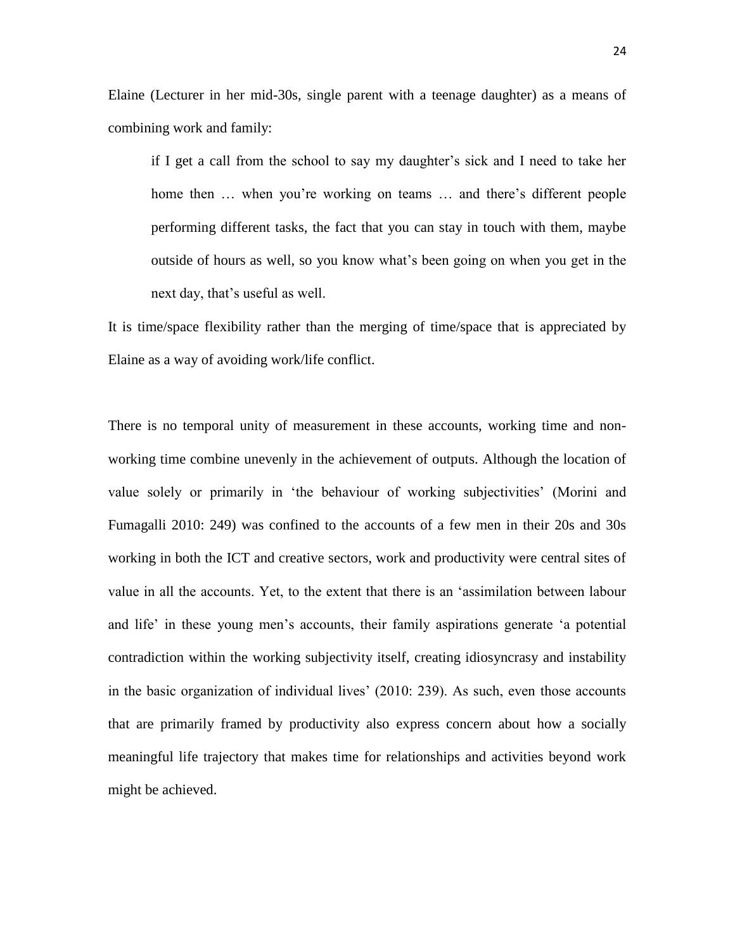Elaine (Lecturer in her mid-30s, single parent with a teenage daughter) as a means of combining work and family:

if I get a call from the school to say my daughter's sick and I need to take her home then ... when you're working on teams ... and there's different people performing different tasks, the fact that you can stay in touch with them, maybe outside of hours as well, so you know what's been going on when you get in the next day, that's useful as well.

It is time/space flexibility rather than the merging of time/space that is appreciated by Elaine as a way of avoiding work/life conflict.

There is no temporal unity of measurement in these accounts, working time and nonworking time combine unevenly in the achievement of outputs. Although the location of value solely or primarily in 'the behaviour of working subjectivities' (Morini and Fumagalli 2010: 249) was confined to the accounts of a few men in their 20s and 30s working in both the ICT and creative sectors, work and productivity were central sites of value in all the accounts. Yet, to the extent that there is an 'assimilation between labour and life' in these young men's accounts, their family aspirations generate 'a potential contradiction within the working subjectivity itself, creating idiosyncrasy and instability in the basic organization of individual lives' (2010: 239). As such, even those accounts that are primarily framed by productivity also express concern about how a socially meaningful life trajectory that makes time for relationships and activities beyond work might be achieved.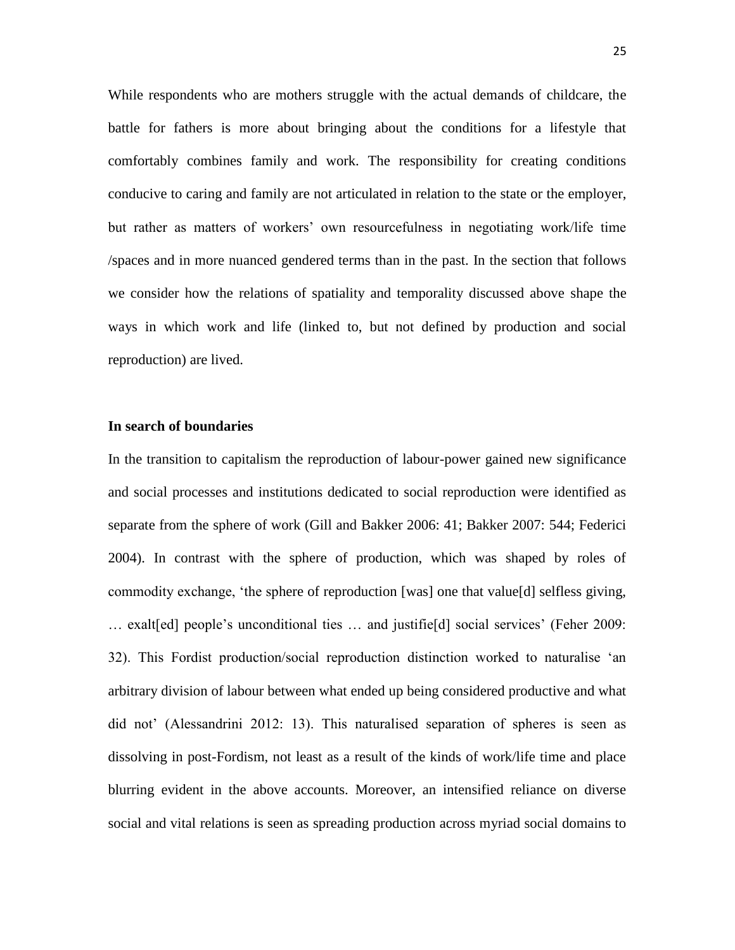While respondents who are mothers struggle with the actual demands of childcare, the battle for fathers is more about bringing about the conditions for a lifestyle that comfortably combines family and work. The responsibility for creating conditions conducive to caring and family are not articulated in relation to the state or the employer, but rather as matters of workers' own resourcefulness in negotiating work/life time /spaces and in more nuanced gendered terms than in the past. In the section that follows we consider how the relations of spatiality and temporality discussed above shape the ways in which work and life (linked to, but not defined by production and social reproduction) are lived.

## **In search of boundaries**

In the transition to capitalism the reproduction of labour-power gained new significance and social processes and institutions dedicated to social reproduction were identified as separate from the sphere of work (Gill and Bakker 2006: 41; Bakker 2007: 544; Federici 2004). In contrast with the sphere of production, which was shaped by roles of commodity exchange, 'the sphere of reproduction [was] one that value[d] selfless giving, … exalt[ed] people's unconditional ties … and justifie[d] social services' (Feher 2009: 32). This Fordist production/social reproduction distinction worked to naturalise 'an arbitrary division of labour between what ended up being considered productive and what did not' (Alessandrini 2012: 13). This naturalised separation of spheres is seen as dissolving in post-Fordism, not least as a result of the kinds of work/life time and place blurring evident in the above accounts. Moreover, an intensified reliance on diverse social and vital relations is seen as spreading production across myriad social domains to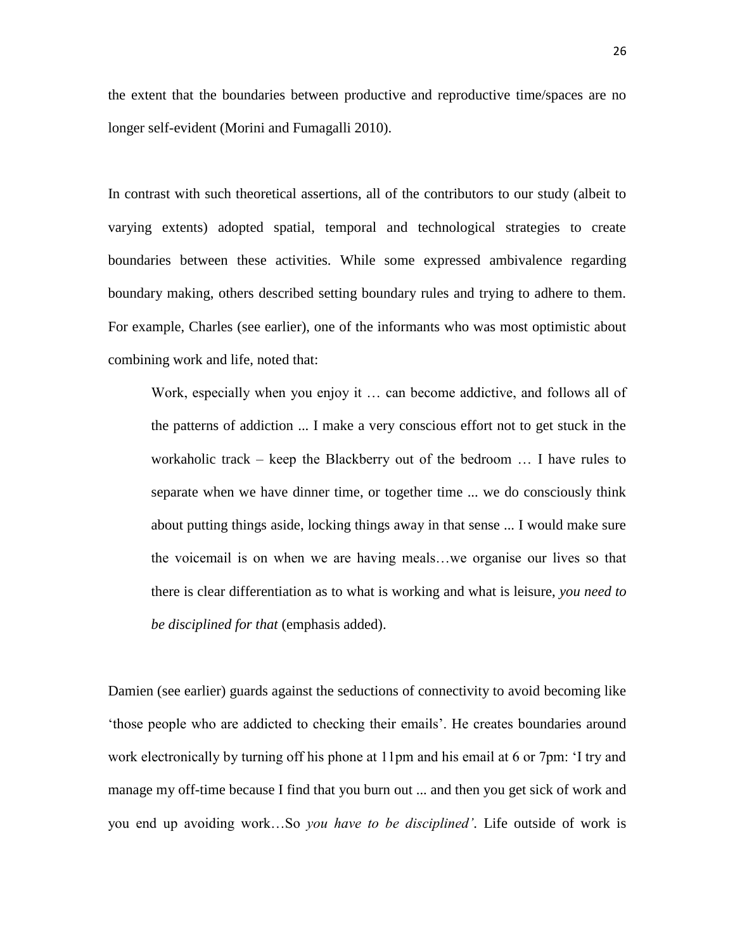the extent that the boundaries between productive and reproductive time/spaces are no longer self-evident (Morini and Fumagalli 2010).

In contrast with such theoretical assertions, all of the contributors to our study (albeit to varying extents) adopted spatial, temporal and technological strategies to create boundaries between these activities. While some expressed ambivalence regarding boundary making, others described setting boundary rules and trying to adhere to them. For example, Charles (see earlier), one of the informants who was most optimistic about combining work and life, noted that:

Work, especially when you enjoy it … can become addictive, and follows all of the patterns of addiction ... I make a very conscious effort not to get stuck in the workaholic track – keep the Blackberry out of the bedroom … I have rules to separate when we have dinner time, or together time ... we do consciously think about putting things aside, locking things away in that sense ... I would make sure the voicemail is on when we are having meals…we organise our lives so that there is clear differentiation as to what is working and what is leisure, *you need to be disciplined for that* (emphasis added).

Damien (see earlier) guards against the seductions of connectivity to avoid becoming like 'those people who are addicted to checking their emails'. He creates boundaries around work electronically by turning off his phone at 11pm and his email at 6 or 7pm: 'I try and manage my off-time because I find that you burn out ... and then you get sick of work and you end up avoiding work…So *you have to be disciplined'*. Life outside of work is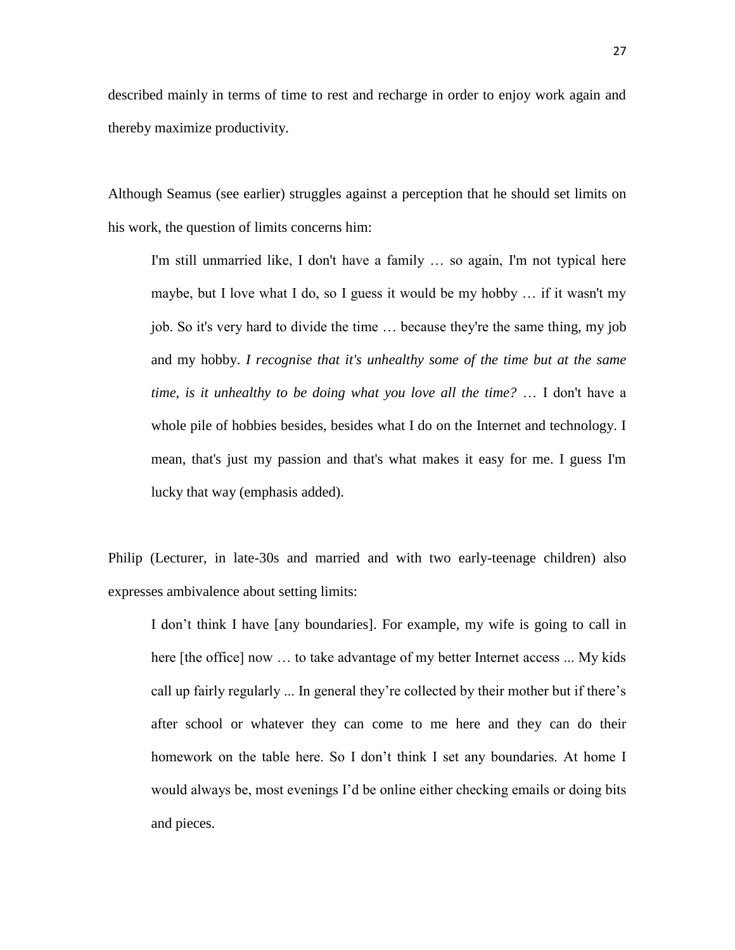described mainly in terms of time to rest and recharge in order to enjoy work again and thereby maximize productivity.

Although Seamus (see earlier) struggles against a perception that he should set limits on his work, the question of limits concerns him:

I'm still unmarried like, I don't have a family … so again, I'm not typical here maybe, but I love what I do, so I guess it would be my hobby … if it wasn't my job. So it's very hard to divide the time … because they're the same thing, my job and my hobby. *I recognise that it's unhealthy some of the time but at the same time, is it unhealthy to be doing what you love all the time?* … I don't have a whole pile of hobbies besides, besides what I do on the Internet and technology. I mean, that's just my passion and that's what makes it easy for me. I guess I'm lucky that way (emphasis added).

Philip (Lecturer, in late-30s and married and with two early-teenage children) also expresses ambivalence about setting limits:

I don't think I have [any boundaries]. For example, my wife is going to call in here [the office] now ... to take advantage of my better Internet access ... My kids call up fairly regularly ... In general they're collected by their mother but if there's after school or whatever they can come to me here and they can do their homework on the table here. So I don't think I set any boundaries. At home I would always be, most evenings I'd be online either checking emails or doing bits and pieces.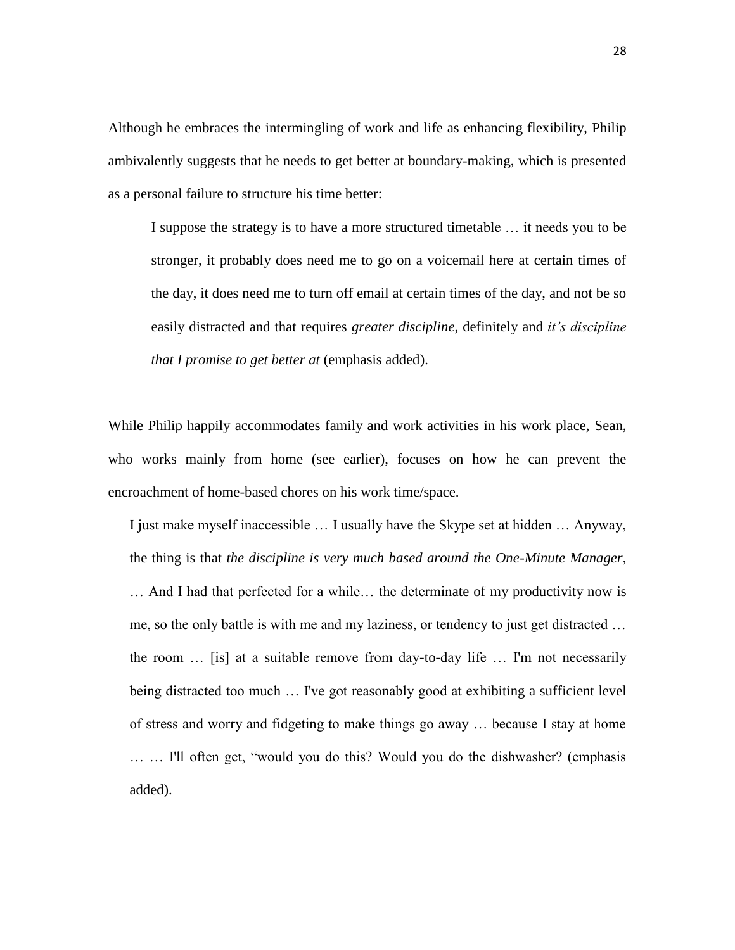Although he embraces the intermingling of work and life as enhancing flexibility, Philip ambivalently suggests that he needs to get better at boundary-making, which is presented as a personal failure to structure his time better:

I suppose the strategy is to have a more structured timetable … it needs you to be stronger, it probably does need me to go on a voicemail here at certain times of the day, it does need me to turn off email at certain times of the day, and not be so easily distracted and that requires *greater discipline*, definitely and *it's discipline that I promise to get better at* (emphasis added).

While Philip happily accommodates family and work activities in his work place, Sean, who works mainly from home (see earlier), focuses on how he can prevent the encroachment of home-based chores on his work time/space.

I just make myself inaccessible … I usually have the Skype set at hidden … Anyway, the thing is that *the discipline is very much based around the One-Minute Manager*, … And I had that perfected for a while… the determinate of my productivity now is me, so the only battle is with me and my laziness, or tendency to just get distracted … the room … [is] at a suitable remove from day-to-day life … I'm not necessarily being distracted too much … I've got reasonably good at exhibiting a sufficient level of stress and worry and fidgeting to make things go away … because I stay at home … … I'll often get, "would you do this? Would you do the dishwasher? (emphasis added).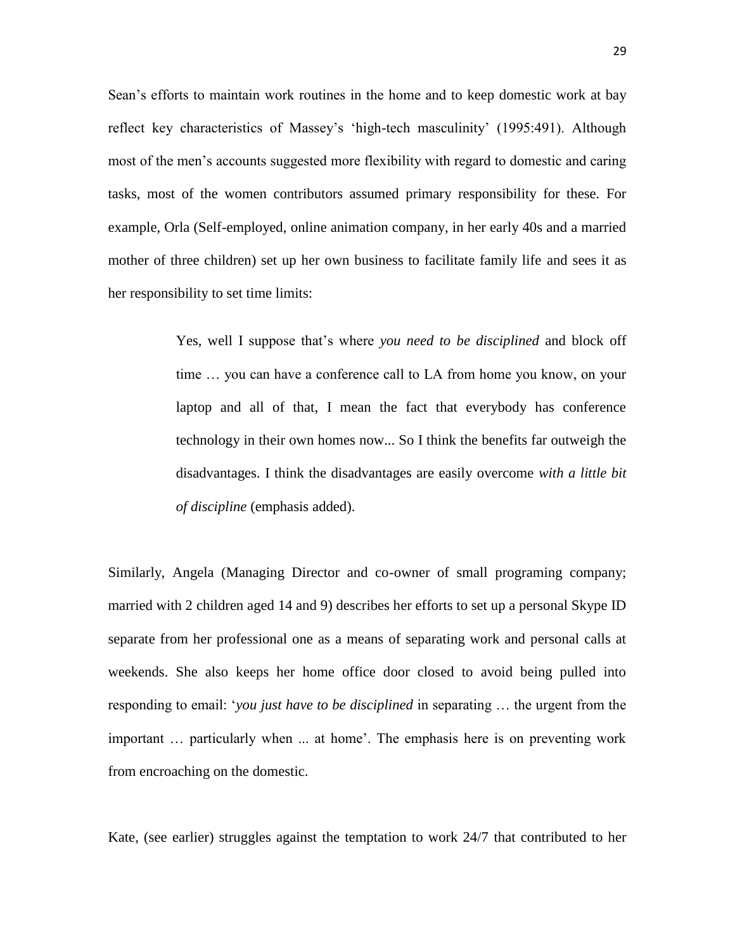Sean's efforts to maintain work routines in the home and to keep domestic work at bay reflect key characteristics of Massey's 'high-tech masculinity' (1995:491). Although most of the men's accounts suggested more flexibility with regard to domestic and caring tasks, most of the women contributors assumed primary responsibility for these. For example, Orla (Self-employed, online animation company, in her early 40s and a married mother of three children) set up her own business to facilitate family life and sees it as her responsibility to set time limits:

> Yes, well I suppose that's where *you need to be disciplined* and block off time … you can have a conference call to LA from home you know, on your laptop and all of that, I mean the fact that everybody has conference technology in their own homes now... So I think the benefits far outweigh the disadvantages. I think the disadvantages are easily overcome *with a little bit of discipline* (emphasis added).

Similarly, Angela (Managing Director and co-owner of small programing company; married with 2 children aged 14 and 9) describes her efforts to set up a personal Skype ID separate from her professional one as a means of separating work and personal calls at weekends. She also keeps her home office door closed to avoid being pulled into responding to email: '*you just have to be disciplined* in separating … the urgent from the important … particularly when ... at home'. The emphasis here is on preventing work from encroaching on the domestic.

Kate, (see earlier) struggles against the temptation to work 24/7 that contributed to her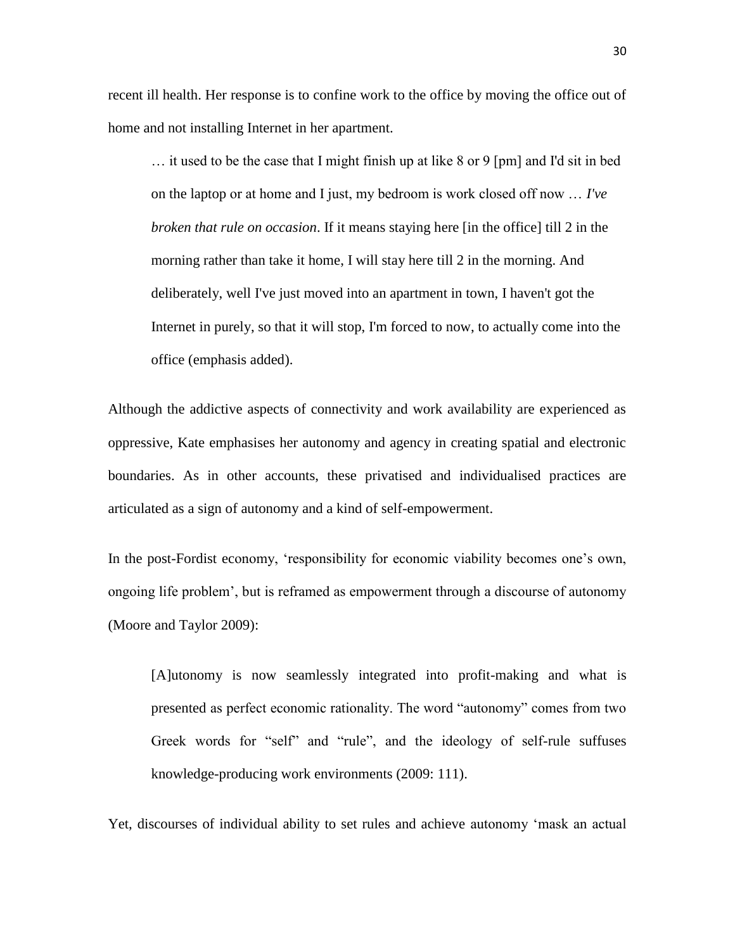recent ill health. Her response is to confine work to the office by moving the office out of home and not installing Internet in her apartment.

… it used to be the case that I might finish up at like 8 or 9 [pm] and I'd sit in bed on the laptop or at home and I just, my bedroom is work closed off now … *I've broken that rule on occasion*. If it means staying here [in the office] till 2 in the morning rather than take it home, I will stay here till 2 in the morning. And deliberately, well I've just moved into an apartment in town, I haven't got the Internet in purely, so that it will stop, I'm forced to now, to actually come into the office (emphasis added).

Although the addictive aspects of connectivity and work availability are experienced as oppressive, Kate emphasises her autonomy and agency in creating spatial and electronic boundaries. As in other accounts, these privatised and individualised practices are articulated as a sign of autonomy and a kind of self-empowerment.

In the post-Fordist economy, 'responsibility for economic viability becomes one's own, ongoing life problem', but is reframed as empowerment through a discourse of autonomy (Moore and Taylor 2009):

[A]utonomy is now seamlessly integrated into profit-making and what is presented as perfect economic rationality. The word "autonomy" comes from two Greek words for "self" and "rule", and the ideology of self-rule suffuses knowledge-producing work environments (2009: 111).

Yet, discourses of individual ability to set rules and achieve autonomy 'mask an actual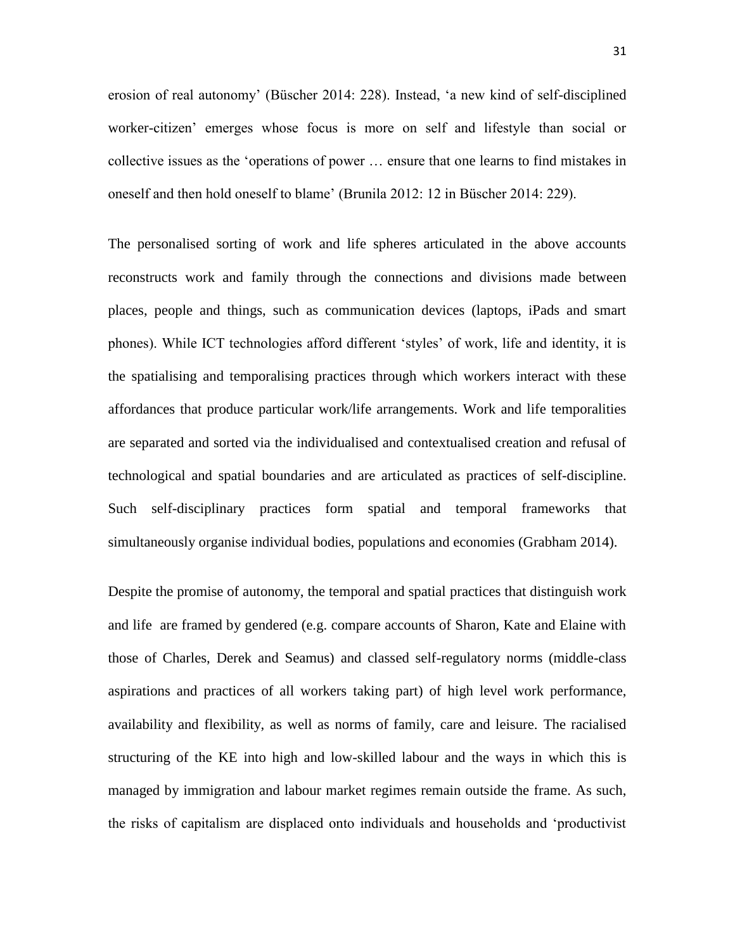erosion of real autonomy' (Büscher 2014: 228). Instead, 'a new kind of self-disciplined worker-citizen' emerges whose focus is more on self and lifestyle than social or collective issues as the 'operations of power … ensure that one learns to find mistakes in oneself and then hold oneself to blame' (Brunila 2012: 12 in Büscher 2014: 229).

The personalised sorting of work and life spheres articulated in the above accounts reconstructs work and family through the connections and divisions made between places, people and things, such as communication devices (laptops, iPads and smart phones). While ICT technologies afford different 'styles' of work, life and identity, it is the spatialising and temporalising practices through which workers interact with these affordances that produce particular work/life arrangements. Work and life temporalities are separated and sorted via the individualised and contextualised creation and refusal of technological and spatial boundaries and are articulated as practices of self-discipline. Such self-disciplinary practices form spatial and temporal frameworks that simultaneously organise individual bodies, populations and economies (Grabham 2014).

Despite the promise of autonomy, the temporal and spatial practices that distinguish work and life are framed by gendered (e.g. compare accounts of Sharon, Kate and Elaine with those of Charles, Derek and Seamus) and classed self-regulatory norms (middle-class aspirations and practices of all workers taking part) of high level work performance, availability and flexibility, as well as norms of family, care and leisure. The racialised structuring of the KE into high and low-skilled labour and the ways in which this is managed by immigration and labour market regimes remain outside the frame. As such, the risks of capitalism are displaced onto individuals and households and 'productivist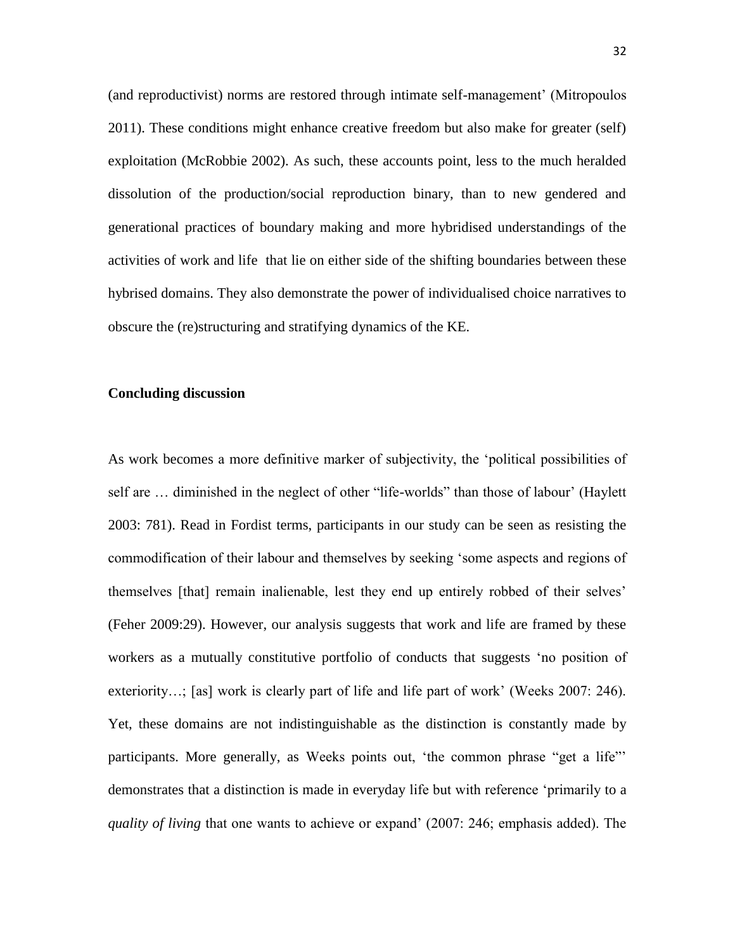(and reproductivist) norms are restored through intimate self-management' (Mitropoulos 2011). These conditions might enhance creative freedom but also make for greater (self) exploitation (McRobbie 2002). As such, these accounts point, less to the much heralded dissolution of the production/social reproduction binary, than to new gendered and generational practices of boundary making and more hybridised understandings of the activities of work and life that lie on either side of the shifting boundaries between these hybrised domains. They also demonstrate the power of individualised choice narratives to obscure the (re)structuring and stratifying dynamics of the KE.

## **Concluding discussion**

As work becomes a more definitive marker of subjectivity, the 'political possibilities of self are … diminished in the neglect of other "life-worlds" than those of labour' (Haylett 2003: 781). Read in Fordist terms, participants in our study can be seen as resisting the commodification of their labour and themselves by seeking 'some aspects and regions of themselves [that] remain inalienable, lest they end up entirely robbed of their selves' (Feher 2009:29). However, our analysis suggests that work and life are framed by these workers as a mutually constitutive portfolio of conducts that suggests 'no position of exteriority...; [as] work is clearly part of life and life part of work' (Weeks 2007: 246). Yet, these domains are not indistinguishable as the distinction is constantly made by participants. More generally, as Weeks points out, 'the common phrase "get a life"' demonstrates that a distinction is made in everyday life but with reference 'primarily to a *quality of living* that one wants to achieve or expand' (2007: 246; emphasis added). The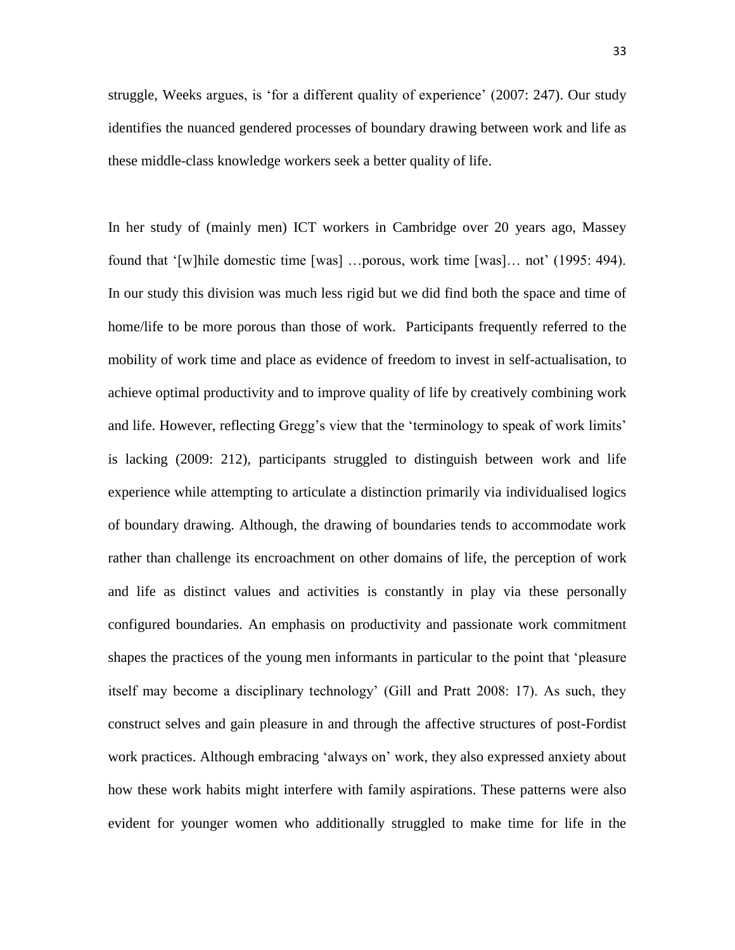struggle, Weeks argues, is 'for a different quality of experience' (2007: 247). Our study identifies the nuanced gendered processes of boundary drawing between work and life as these middle-class knowledge workers seek a better quality of life.

In her study of (mainly men) ICT workers in Cambridge over 20 years ago, Massey found that '[w]hile domestic time [was] …porous, work time [was]… not' (1995: 494). In our study this division was much less rigid but we did find both the space and time of home/life to be more porous than those of work. Participants frequently referred to the mobility of work time and place as evidence of freedom to invest in self-actualisation, to achieve optimal productivity and to improve quality of life by creatively combining work and life. However, reflecting Gregg's view that the 'terminology to speak of work limits' is lacking (2009: 212), participants struggled to distinguish between work and life experience while attempting to articulate a distinction primarily via individualised logics of boundary drawing. Although, the drawing of boundaries tends to accommodate work rather than challenge its encroachment on other domains of life, the perception of work and life as distinct values and activities is constantly in play via these personally configured boundaries. An emphasis on productivity and passionate work commitment shapes the practices of the young men informants in particular to the point that 'pleasure itself may become a disciplinary technology' (Gill and Pratt 2008: 17). As such, they construct selves and gain pleasure in and through the affective structures of post-Fordist work practices. Although embracing 'always on' work, they also expressed anxiety about how these work habits might interfere with family aspirations. These patterns were also evident for younger women who additionally struggled to make time for life in the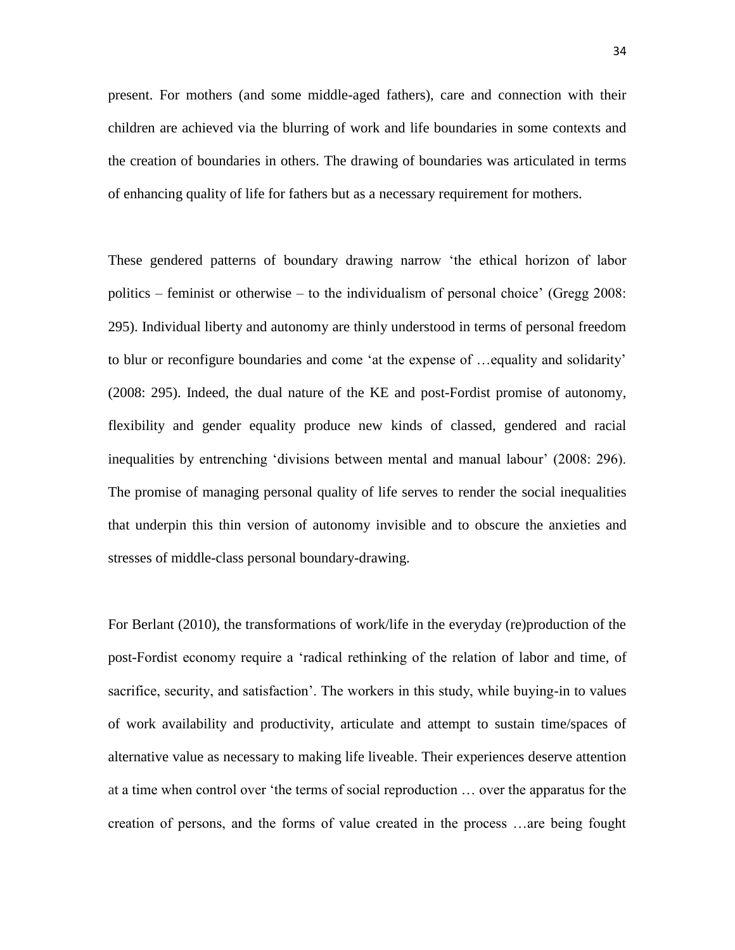present. For mothers (and some middle-aged fathers), care and connection with their children are achieved via the blurring of work and life boundaries in some contexts and the creation of boundaries in others. The drawing of boundaries was articulated in terms of enhancing quality of life for fathers but as a necessary requirement for mothers.

These gendered patterns of boundary drawing narrow 'the ethical horizon of labor politics – feminist or otherwise – to the individualism of personal choice' (Gregg 2008: 295). Individual liberty and autonomy are thinly understood in terms of personal freedom to blur or reconfigure boundaries and come 'at the expense of …equality and solidarity' (2008: 295). Indeed, the dual nature of the KE and post-Fordist promise of autonomy, flexibility and gender equality produce new kinds of classed, gendered and racial inequalities by entrenching 'divisions between mental and manual labour' (2008: 296). The promise of managing personal quality of life serves to render the social inequalities that underpin this thin version of autonomy invisible and to obscure the anxieties and stresses of middle-class personal boundary-drawing.

For Berlant (2010), the transformations of work/life in the everyday (re)production of the post-Fordist economy require a 'radical rethinking of the relation of labor and time, of sacrifice, security, and satisfaction'. The workers in this study, while buying-in to values of work availability and productivity, articulate and attempt to sustain time/spaces of alternative value as necessary to making life liveable. Their experiences deserve attention at a time when control over 'the terms of social reproduction … over the apparatus for the creation of persons, and the forms of value created in the process …are being fought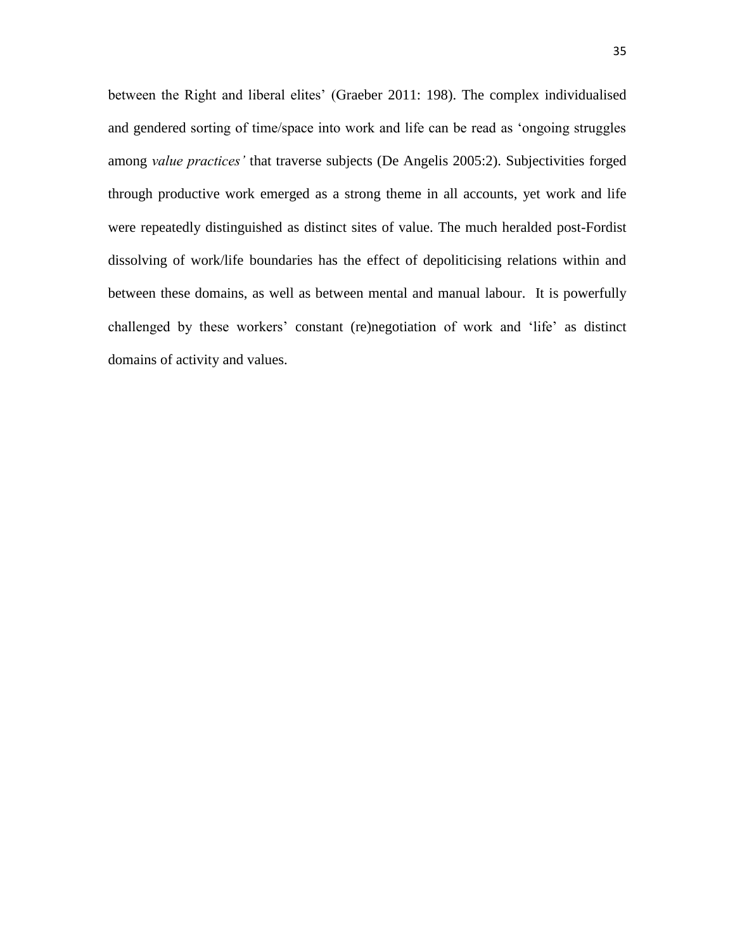between the Right and liberal elites' (Graeber 2011: 198). The complex individualised and gendered sorting of time/space into work and life can be read as 'ongoing struggles among *value practices'* that traverse subjects (De Angelis 2005:2). Subjectivities forged through productive work emerged as a strong theme in all accounts, yet work and life were repeatedly distinguished as distinct sites of value. The much heralded post-Fordist dissolving of work/life boundaries has the effect of depoliticising relations within and between these domains, as well as between mental and manual labour. It is powerfully challenged by these workers' constant (re)negotiation of work and 'life' as distinct domains of activity and values.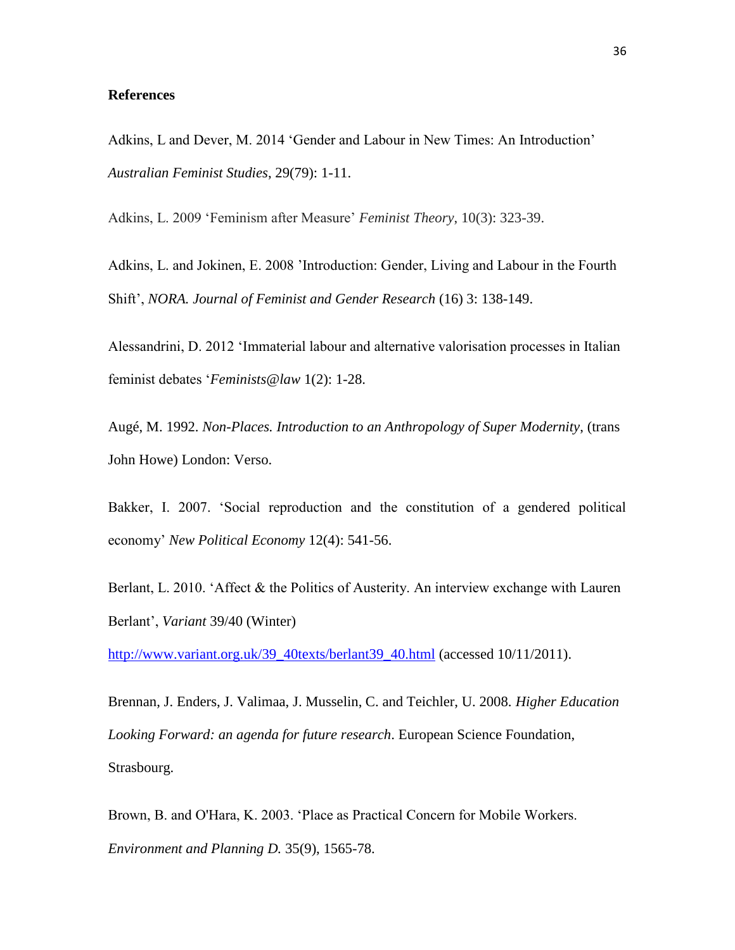## **References**

Adkins, L and Dever, M. 2014 'Gender and Labour in New Times: An Introduction' *Australian Feminist Studies*, 29(79): 1-11.

Adkins, L. 2009 'Feminism after Measure' *Feminist Theory*, 10(3): 323-39.

Adkins, L. and Jokinen, E. 2008 'Introduction: Gender, Living and Labour in the Fourth Shift', *NORA. Journal of Feminist and Gender Research* (16) 3: 138-149.

Alessandrini, D. 2012 'Immaterial labour and alternative valorisation processes in Italian feminist debates '*Feminists@law* 1(2): 1-28.

Augé, M. 1992. *Non-Places. Introduction to an Anthropology of Super Modernity*, (trans John Howe) London: Verso.

Bakker, I. 2007. 'Social reproduction and the constitution of a gendered political economy' *New Political Economy* 12(4): 541-56.

Berlant, L. 2010. 'Affect & the Politics of Austerity. An interview exchange with Lauren Berlant', *Variant* 39/40 (Winter)

[http://www.variant.org.uk/39\\_40texts/berlant39\\_40.html](http://www.variant.org.uk/39_40texts/berlant39_40.html) (accessed 10/11/2011).

Brennan, J. Enders, J. Valimaa, J. Musselin, C. and Teichler, U. 2008. *Higher Education Looking Forward: an agenda for future research*. European Science Foundation, Strasbourg.

Brown, B. and O'Hara, K. 2003. 'Place as Practical Concern for Mobile Workers. *Environment and Planning D.* 35(9), 1565-78.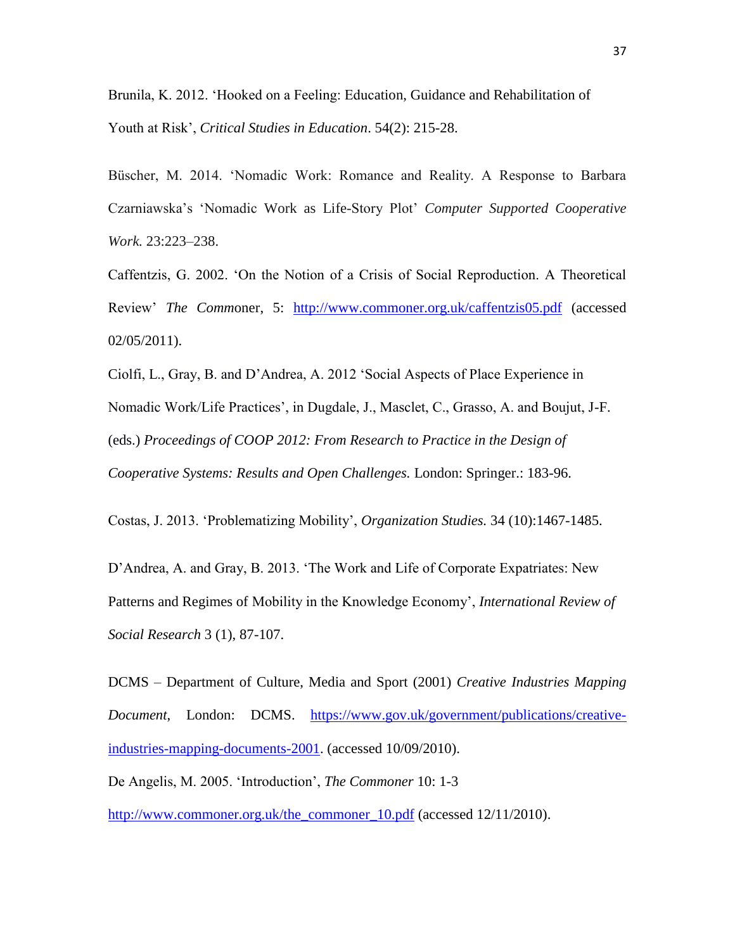Brunila, K. 2012. 'Hooked on a Feeling: Education, Guidance and Rehabilitation of Youth at Risk', *Critical Studies in Education*. 54(2): 215-28.

Büscher, M. 2014. 'Nomadic Work: Romance and Reality. A Response to Barbara Czarniawska's 'Nomadic Work as Life-Story Plot' *Computer Supported Cooperative Work.* 23:223–238.

Caffentzis, G. 2002. 'On the Notion of a Crisis of Social Reproduction. A Theoretical Review' *The Comm*oner, 5: <http://www.commoner.org.uk/caffentzis05.pdf> (accessed 02/05/2011).

Ciolfi, L., Gray, B. and D'Andrea, A. 2012 'Social Aspects of Place Experience in Nomadic Work/Life Practices', in Dugdale, J., Masclet, C., Grasso, A. and Boujut, J-F. (eds.) *Proceedings of COOP 2012: From Research to Practice in the Design of Cooperative Systems: Results and Open Challenges.* London: Springer.: 183-96.

Costas, J. 2013. 'Problematizing Mobility', *Organization Studies.* 34 (10):1467-1485.

D'Andrea, A. and Gray, B. 2013. 'The Work and Life of Corporate Expatriates: New Patterns and Regimes of Mobility in the Knowledge Economy', *International Review of Social Research* 3 (1), 87-107.

DCMS – Department of Culture, Media and Sport (2001) *Creative Industries Mapping Document*, London: DCMS. [https://www.gov.uk/government/publications/creative](https://www.gov.uk/government/publications/creative-industries-mapping-documents-2001)[industries-mapping-documents-2001.](https://www.gov.uk/government/publications/creative-industries-mapping-documents-2001) (accessed 10/09/2010).

De Angelis, M. 2005. 'Introduction', *The Commoner* 10: 1-3

[http://www.commoner.org.uk/the\\_commoner\\_10.pdf](http://www.commoner.org.uk/the_commoner_10.pdf) (accessed 12/11/2010).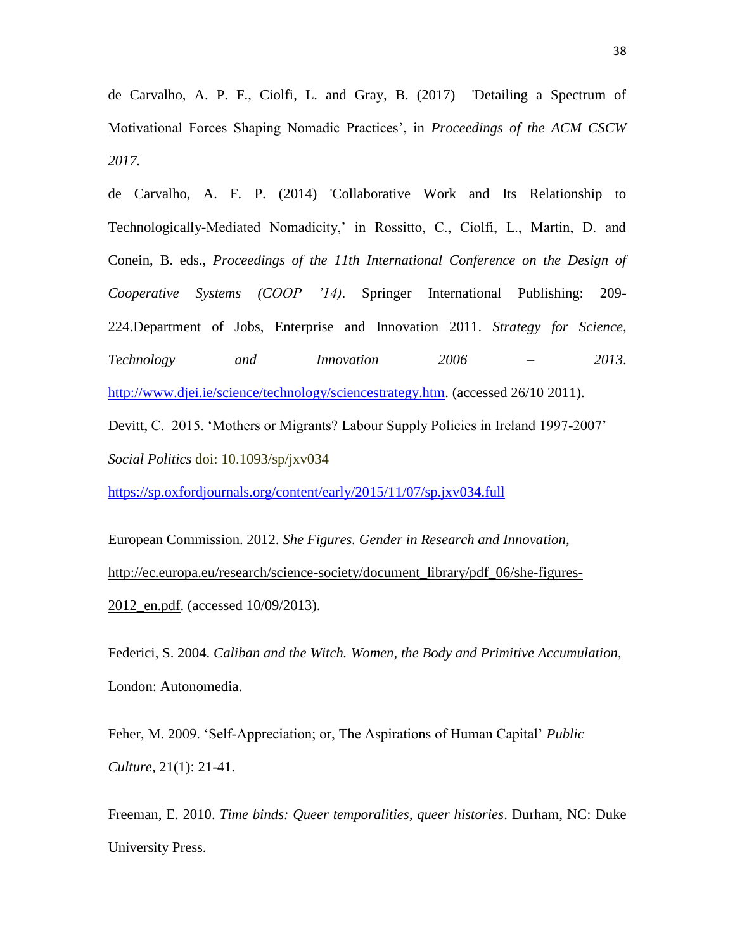de Carvalho, A. P. F., Ciolfi, L. and Gray, B. (2017) 'Detailing a Spectrum of Motivational Forces Shaping Nomadic Practices', in *Proceedings of the ACM CSCW 2017.*

de Carvalho, A. F. P. (2014) 'Collaborative Work and Its Relationship to Technologically-Mediated Nomadicity,' in Rossitto, C., Ciolfi, L., Martin, D. and Conein, B. eds., *Proceedings of the 11th International Conference on the Design of Cooperative Systems (COOP '14)*. Springer International Publishing: 209- 224.Department of Jobs, Enterprise and Innovation 2011. *Strategy for Science, Technology and Innovation 2006 – 2013*. [http://www.djei.ie/science/technology/sciencestrategy.htm.](http://www.djei.ie/science/technology/sciencestrategy.htm) (accessed 26/10 2011).

Devitt, C. 2015. 'Mothers or Migrants? Labour Supply Policies in Ireland 1997-2007' *Social Politics* doi: 10.1093/sp/jxv034

<https://sp.oxfordjournals.org/content/early/2015/11/07/sp.jxv034.full>

European Commission. 2012. *She Figures. Gender in Research and Innovation*, [http://ec.europa.eu/research/science-society/document\\_library/pdf\\_06/she-figures-](http://ec.europa.eu/research/science-society/document_library/pdf_06/she-figures-2012_en.pdf)[2012\\_en.pdf.](http://ec.europa.eu/research/science-society/document_library/pdf_06/she-figures-2012_en.pdf) (accessed 10/09/2013).

Federici, S. 2004. *Caliban and the Witch. Women, the Body and Primitive Accumulation,* London: Autonomedia.

Feher, M. 2009. 'Self-Appreciation; or, The Aspirations of Human Capital' *Public Culture*, 21(1): 21-41.

Freeman, E. 2010. *Time binds: Queer temporalities, queer histories*. Durham, NC: Duke University Press.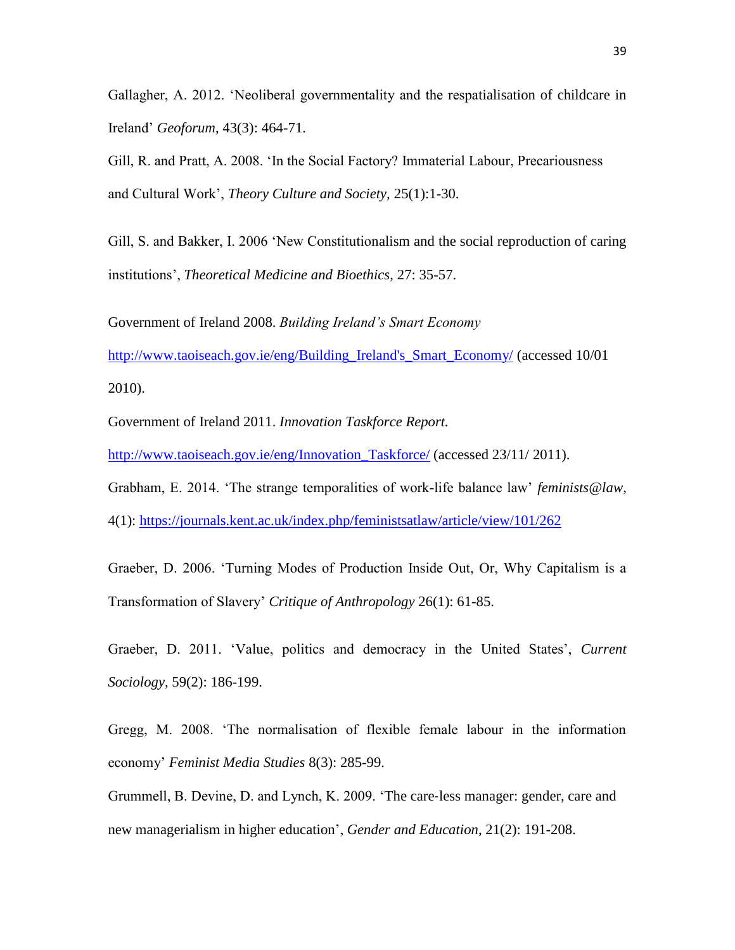Gallagher, A. 2012. 'Neoliberal governmentality and the respatialisation of childcare in Ireland' *Geoforum*, 43(3): 464-71.

Gill, R. and Pratt, A. 2008. 'In the Social Factory? Immaterial Labour, Precariousness and Cultural Work', *Theory Culture and Society,* 25(1):1-30.

Gill, S. and Bakker, I. 2006 'New Constitutionalism and the social reproduction of caring institutions', *Theoretical Medicine and Bioethics*, 27: 35-57.

Government of Ireland 2008. *Building Ireland's Smart Economy*

[http://www.taoiseach.gov.ie/eng/Building\\_Ireland's\\_Smart\\_Economy/](http://www.taoiseach.gov.ie/eng/Building_Ireland) (accessed 10/01 2010).

Government of Ireland 2011. *Innovation Taskforce Report.*

[http://www.taoiseach.gov.ie/eng/Innovation\\_Taskforce/](http://www.taoiseach.gov.ie/eng/Innovation_Taskforce/) (accessed 23/11/ 2011).

Grabham, E. 2014. 'The strange temporalities of work-life balance law' *feminists@law*,

4(1): <https://journals.kent.ac.uk/index.php/feministsatlaw/article/view/101/262>

Graeber, D. 2006. 'Turning Modes of Production Inside Out, Or, Why Capitalism is a Transformation of Slavery' *Critique of Anthropology* 26(1): 61-85.

Graeber, D. 2011. 'Value, politics and democracy in the United States', *Current Sociology*, 59(2): 186-199.

Gregg, M. 2008. 'The normalisation of flexible female labour in the information economy' *Feminist Media Studies* 8(3): 285-99.

Grummell, B. Devine, D. and Lynch, K. 2009. 'The care‐[less manager: gender, care and](http://www.tandfonline.com/doi/abs/10.1080/09540250802392273)  [new managerialism in higher education'](http://www.tandfonline.com/doi/abs/10.1080/09540250802392273), *Gender and Education*, 21(2): 191-208.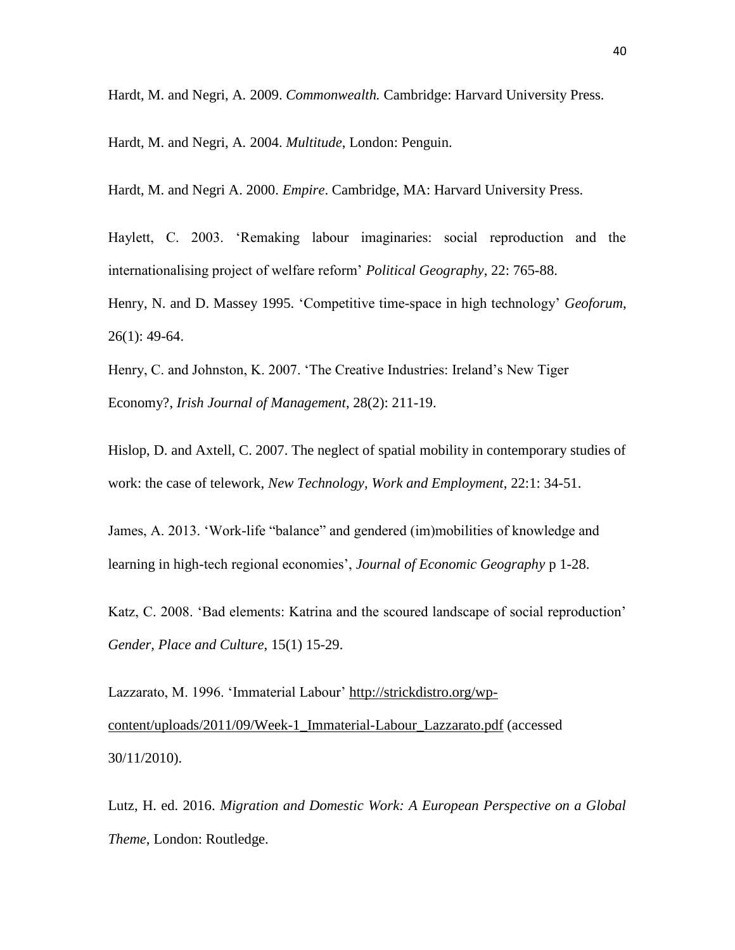Hardt, M. and Negri, A*.* 2009. *Commonwealth.* Cambridge: Harvard University Press.

Hardt, M. and Negri, A*.* 2004. *Multitude*, London: Penguin.

Hardt, M. and Negri A. 2000. *Empire*. Cambridge, MA: Harvard University Press.

Haylett, C. 2003. 'Remaking labour imaginaries: social reproduction and the internationalising project of welfare reform' *Political Geography*, 22: 765-88.

Henry, N. and D. Massey 1995. 'Competitive time-space in high technology' *Geoforum*, 26(1): 49-64.

Henry, C. and Johnston, K. 2007. 'The Creative Industries: Ireland's New Tiger Economy?, *Irish Journal of Management*, 28(2): 211-19.

Hislop, D. and Axtell, C. 2007. The neglect of spatial mobility in contemporary studies of work: the case of telework, *New Technology, Work and Employment*, 22:1: 34-51.

James, A. 2013. 'Work-life "balance" and gendered (im)mobilities of knowledge and learning in high-tech regional economies', *Journal of Economic Geography* p 1-28.

Katz, C. 2008. 'Bad elements: Katrina and the scoured landscape of social reproduction' *Gender, Place and Culture*, 15(1) 15-29.

Lazzarato, M. 1996. 'Immaterial Labour' [http://strickdistro.org/wp](http://strickdistro.org/wp-content/uploads/2011/09/Week-1_Immaterial-Labour_Lazzarato.pdf)[content/uploads/2011/09/Week-1\\_Immaterial-Labour\\_Lazzarato.pdf](http://strickdistro.org/wp-content/uploads/2011/09/Week-1_Immaterial-Labour_Lazzarato.pdf) (accessed 30/11/2010).

Lutz, H. ed. 2016. *Migration and Domestic Work: A European Perspective on a Global Theme*, London: Routledge.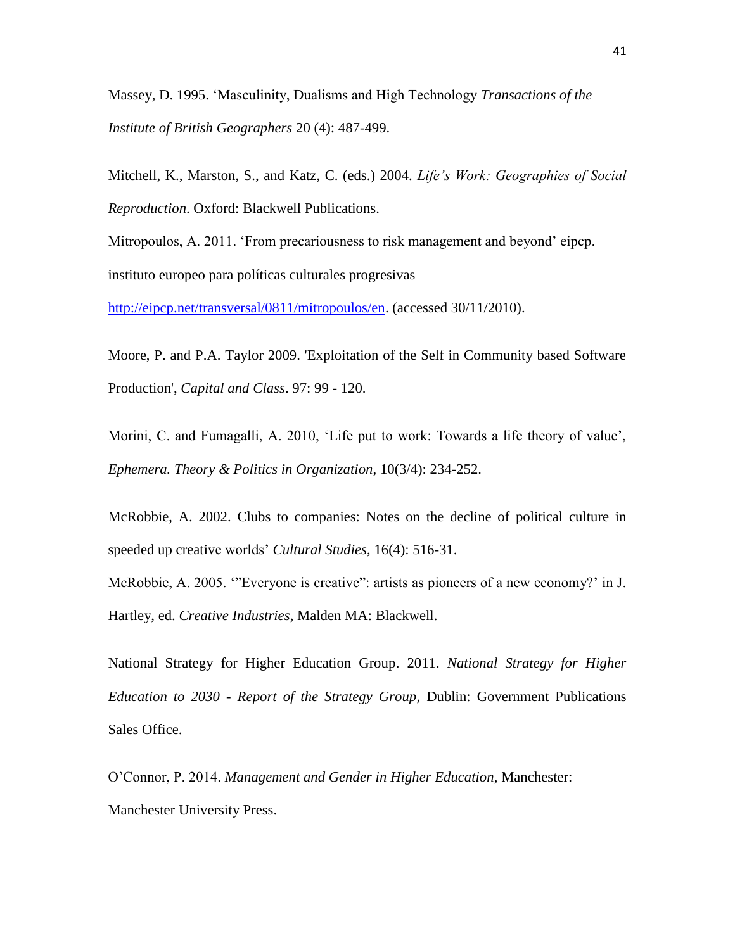Massey, D. 1995. 'Masculinity, Dualisms and High Technology *Transactions of the Institute of British Geographers* 20 (4): 487-499.

Mitchell, K., Marston, S., and Katz, C. (eds.) 2004. *[Life's Work: Geographies of Social](http://www.wiley.com/WileyCDA/WileyTitle/productCd-1405111348.html)  Reproduction*[. Oxford: Blackwell Publications.](http://www.wiley.com/WileyCDA/WileyTitle/productCd-1405111348.html)

Mitropoulos, A. 2011. 'From precariousness to risk management and beyond' eipcp. instituto europeo para políticas culturales progresivas

[http://eipcp.net/transversal/0811/mitropoulos/en.](http://eipcp.net/transversal/0811/mitropoulos/en) (accessed 30/11/2010).

Moore, P. and P.A. Taylor 2009. 'Exploitation of the Self in Community based Software Production', *Capital and Class*. 97: 99 - 120.

Morini, C. and Fumagalli, A. 2010, 'Life put to work: Towards a life theory of value', *Ephemera. Theory & Politics in Organization*, 10(3/4): 234-252.

McRobbie, A. 2002. Clubs to companies: Notes on the decline of political culture in speeded up creative worlds' *Cultural Studies*, 16(4): 516-31.

McRobbie, A. 2005. '"Everyone is creative": artists as pioneers of a new economy?' in J. Hartley, ed. *Creative Industries*, Malden MA: Blackwell.

National Strategy for Higher Education Group. 2011. *National Strategy for Higher Education to 2030 - Report of the Strategy Group*, Dublin: Government Publications Sales Office.

O'Connor, P. 2014. *Management and Gender in Higher Education*, Manchester: Manchester University Press.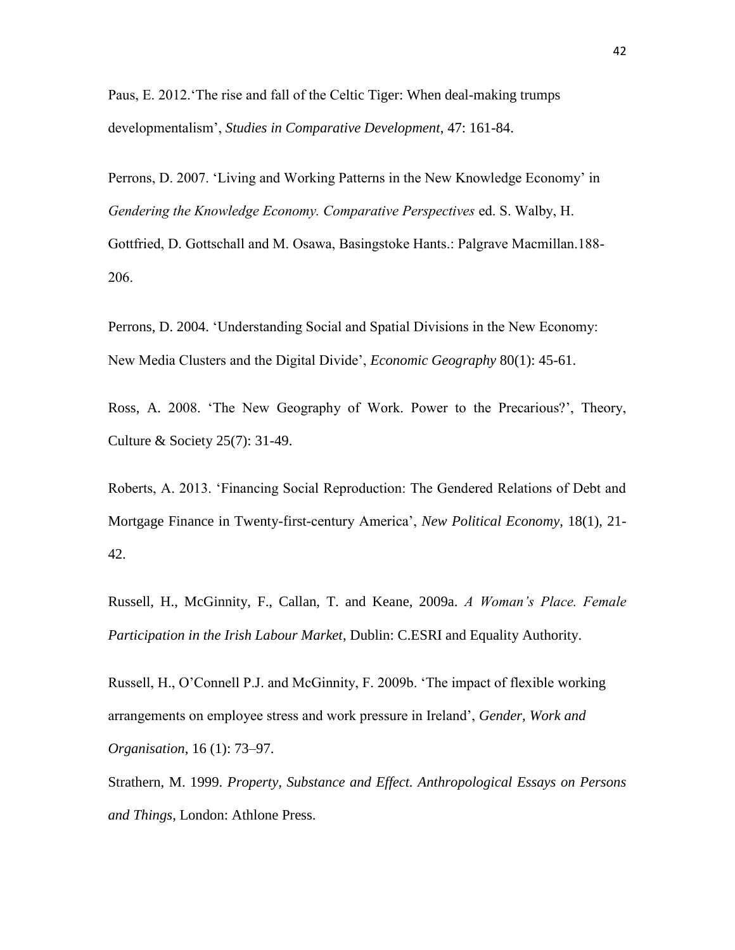Paus, E. 2012.'The rise and fall of the Celtic Tiger: When deal-making trumps developmentalism', *Studies in Comparative Development*, 47: 161-84.

Perrons, D. 2007. 'Living and Working Patterns in the New Knowledge Economy' in *Gendering the Knowledge Economy. Comparative Perspectives* ed. S. Walby, H. Gottfried, D. Gottschall and M. Osawa, Basingstoke Hants.: Palgrave Macmillan.188- 206.

Perrons, D. 2004. 'Understanding Social and Spatial Divisions in the New Economy: New Media Clusters and the Digital Divide', *Economic Geography* 80(1): 45-61.

Ross, A. 2008. 'The New Geography of Work. Power to the Precarious?', Theory, Culture & Society 25(7): 31-49.

Roberts, A. 2013. 'Financing Social Reproduction: The Gendered Relations of Debt and Mortgage Finance in Twenty-first-century America', *New Political Economy*, 18(1), 21- 42.

Russell, H., McGinnity, F., Callan, T. and Keane, 2009a. *A Woman's Place. Female Participation in the Irish Labour Market*, Dublin: C.ESRI and Equality Authority.

Russell, H., O'Connell P.J. and McGinnity, F. 2009b. 'The impact of flexible working arrangements on employee stress and work pressure in Ireland', *Gender, Work and Organisation*, 16 (1): 73–97.

Strathern, M. 1999. *Property, Substance and Effect. Anthropological Essays on Persons and Things*, London: Athlone Press.